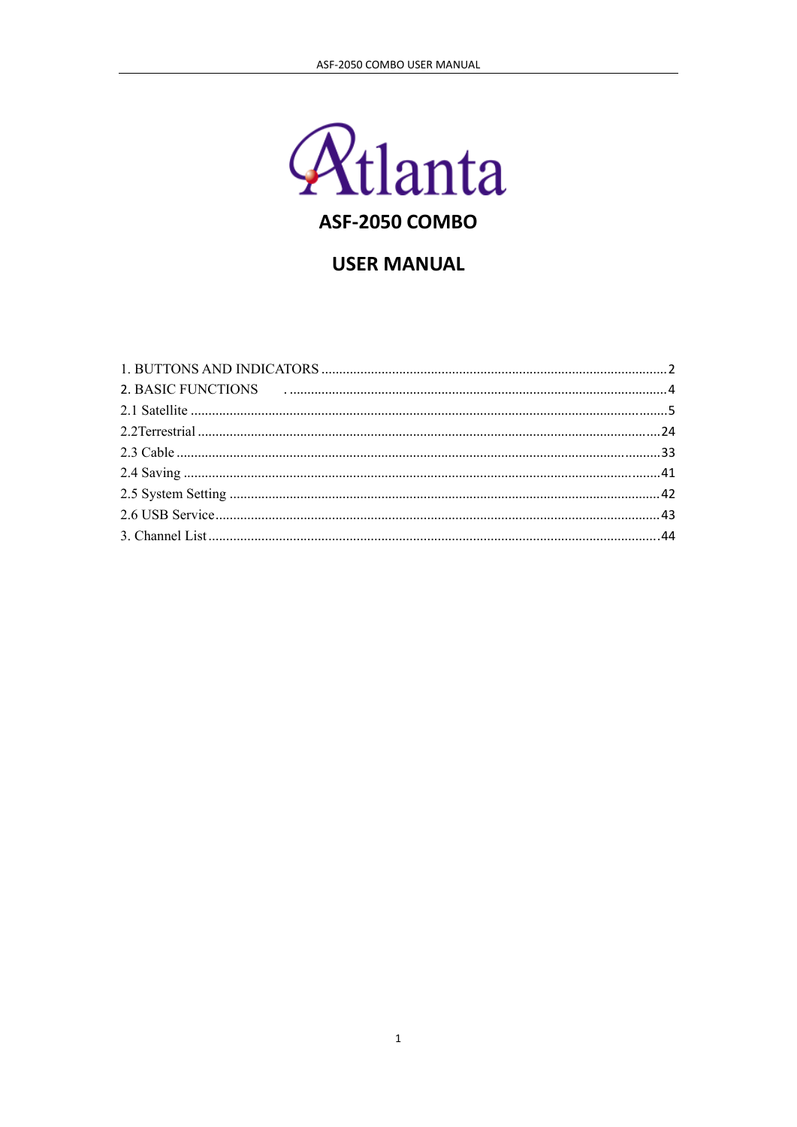

# **USER MANUAL**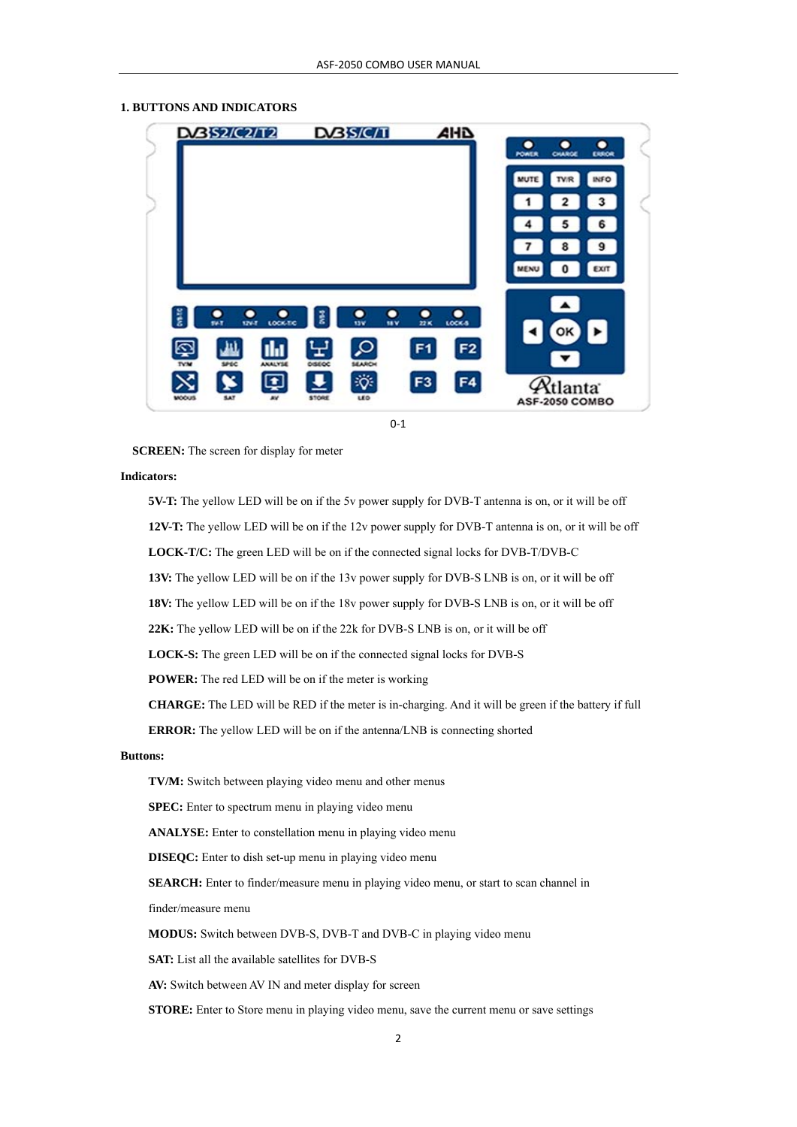#### **1. BUTTONS AND INDICATORS**



 $0 - 1$ 

**SCREEN:** The screen for display for meter

#### **Indicators:**

**5V-T:** The yellow LED will be on if the 5v power supply for DVB-T antenna is on, or it will be off **12V-T:** The yellow LED will be on if the 12v power supply for DVB-T antenna is on, or it will be off **LOCK-T/C:** The green LED will be on if the connected signal locks for DVB-T/DVB-C **13V:** The yellow LED will be on if the 13v power supply for DVB-S LNB is on, or it will be off **18V:** The yellow LED will be on if the 18v power supply for DVB-S LNB is on, or it will be off

**22K:** The yellow LED will be on if the 22k for DVB-S LNB is on, or it will be off

**LOCK-S:** The green LED will be on if the connected signal locks for DVB-S

**POWER:** The red LED will be on if the meter is working

**CHARGE:** The LED will be RED if the meter is in-charging. And it will be green if the battery if full

**ERROR:** The yellow LED will be on if the antenna/LNB is connecting shorted

#### **Buttons:**

 **TV/M:** Switch between playing video menu and other menus

**SPEC:** Enter to spectrum menu in playing video menu

**ANALYSE:** Enter to constellation menu in playing video menu

**DISEQC:** Enter to dish set-up menu in playing video menu

**SEARCH:** Enter to finder/measure menu in playing video menu, or start to scan channel in

finder/measure menu

**MODUS:** Switch between DVB-S, DVB-T and DVB-C in playing video menu

**SAT:** List all the available satellites for DVB-S

**AV:** Switch between AV IN and meter display for screen

**STORE:** Enter to Store menu in playing video menu, save the current menu or save settings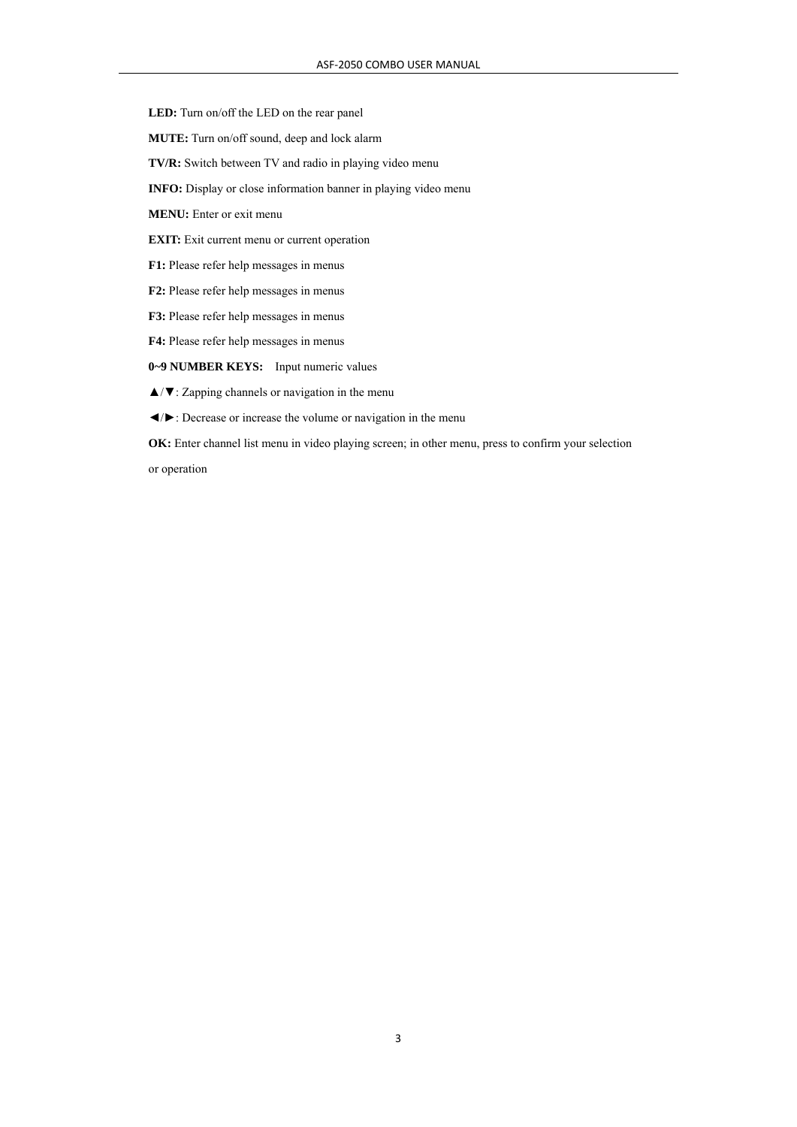**LED:** Turn on/off the LED on the rear panel

**MUTE:** Turn on/off sound, deep and lock alarm

**TV/R:** Switch between TV and radio in playing video menu

**INFO:** Display or close information banner in playing video menu

**MENU:** Enter or exit menu

**EXIT:** Exit current menu or current operation

**F1:** Please refer help messages in menus

**F2:** Please refer help messages in menus

**F3:** Please refer help messages in menus

**F4:** Please refer help messages in menus

**0~9 NUMBER KEYS:** Input numeric values

▲/▼: Zapping channels or navigation in the menu

◄/►: Decrease or increase the volume or navigation in the menu

**OK:** Enter channel list menu in video playing screen; in other menu, press to confirm your selection

or operation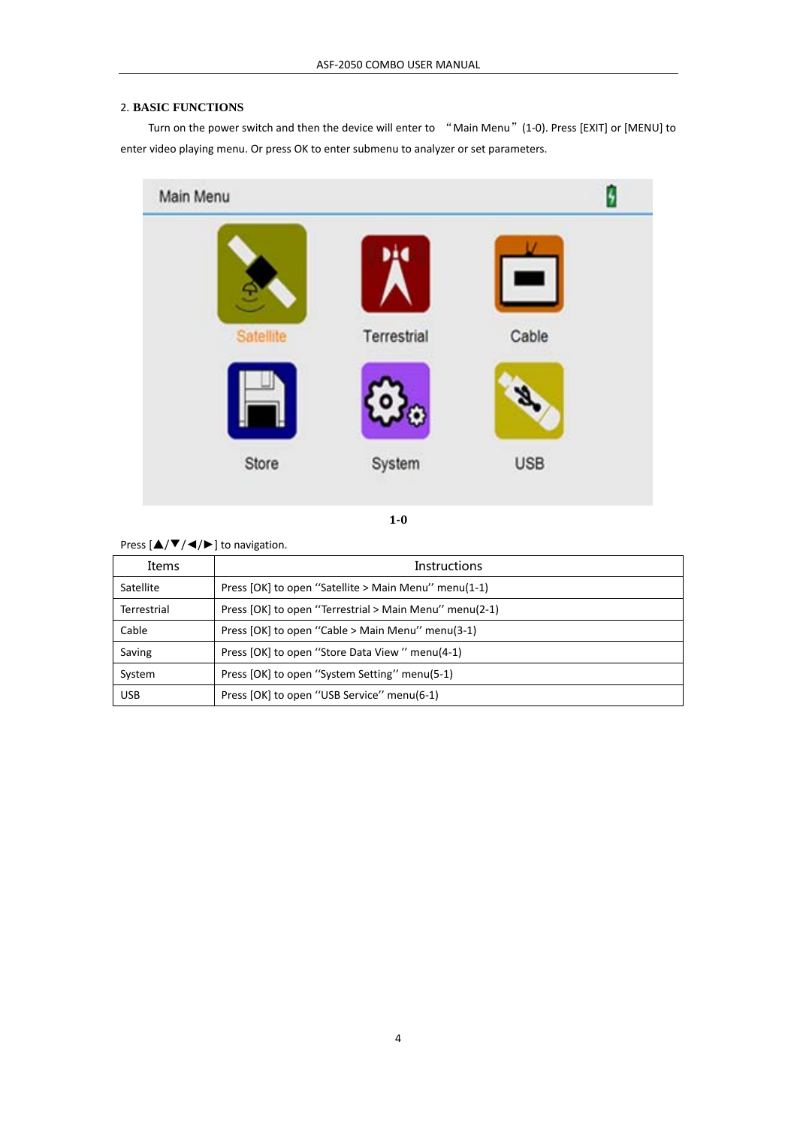### 2. **BASIC FUNCTIONS**

Turn on the power switch and then the device will enter to "Main Menu" (1-0). Press [EXIT] or [MENU] to enter video playing menu. Or press OK to enter submenu to analyzer or set parameters.



**10**

Press  $[\triangle/\blacktriangledown/\blacktriangle/\blacktriangleright]$  to navigation.

| Items              | Instructions                                           |  |
|--------------------|--------------------------------------------------------|--|
| Satellite          | Press [OK] to open "Satellite > Main Menu" menu(1-1)   |  |
| <b>Terrestrial</b> | Press [OK] to open "Terrestrial > Main Menu" menu(2-1) |  |
| Cable              | Press [OK] to open "Cable > Main Menu" menu(3-1)       |  |
| Saving             | Press [OK] to open "Store Data View" menu(4-1)         |  |
| System             | Press [OK] to open "System Setting" menu(5-1)          |  |
| <b>USB</b>         | Press [OK] to open "USB Service" menu(6-1)             |  |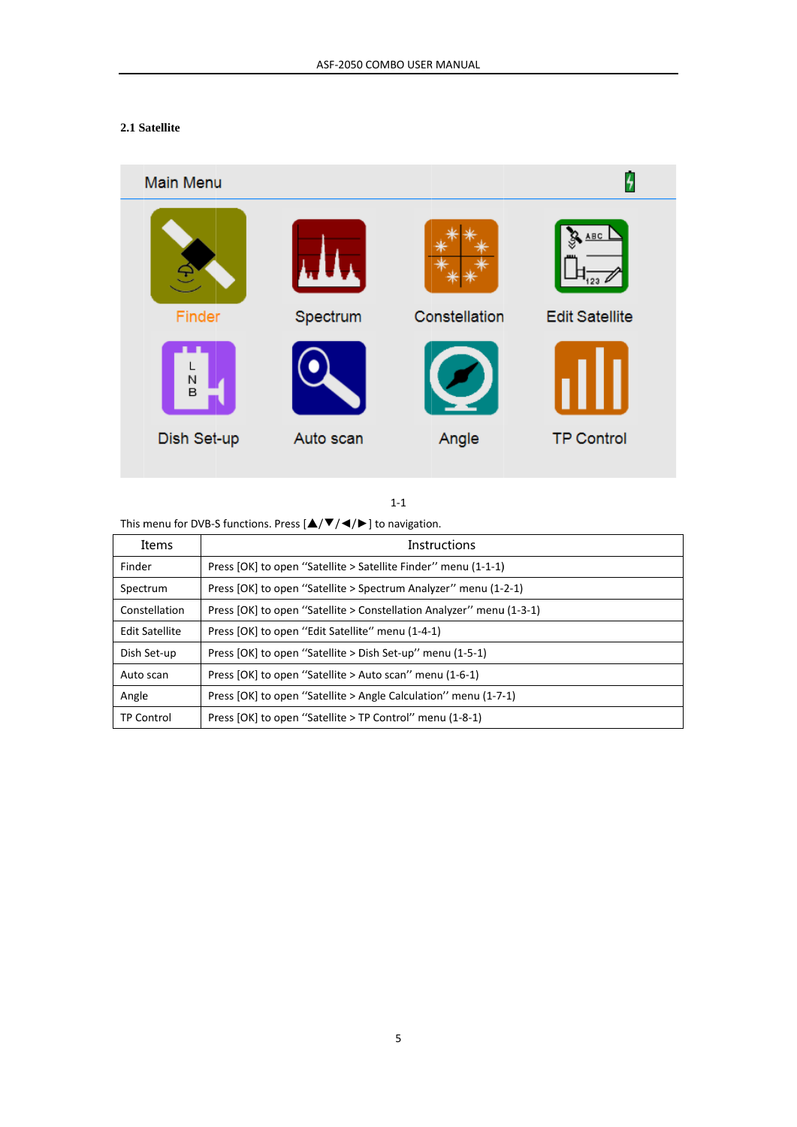## 2.1 Satellite

# **Main Menu ABC** Spectrum **Edit Satellite** Finder Constellation N<br>B Dish Set-up Angle **TP Control** Auto scan

 $1-1$ 

This menu for DVB-S functions. Press  $[\triangle/\blacktriangledown/\blacktriangle/\blacktriangleright]$  to navigation.

| Items                 | <b>Instructions</b>                                                  |
|-----------------------|----------------------------------------------------------------------|
| Finder                | Press [OK] to open "Satellite > Satellite Finder" menu (1-1-1)       |
| Spectrum              | Press [OK] to open "Satellite > Spectrum Analyzer" menu (1-2-1)      |
| Constellation         | Press [OK] to open "Satellite > Constellation Analyzer" menu (1-3-1) |
| <b>Edit Satellite</b> | Press [OK] to open "Edit Satellite" menu (1-4-1)                     |
| Dish Set-up           | Press [OK] to open "Satellite > Dish Set-up" menu (1-5-1)            |
| Auto scan             | Press [OK] to open "Satellite > Auto scan" menu (1-6-1)              |
| Angle                 | Press [OK] to open "Satellite > Angle Calculation" menu (1-7-1)      |
| <b>TP Control</b>     | Press [OK] to open "Satellite > TP Control" menu (1-8-1)             |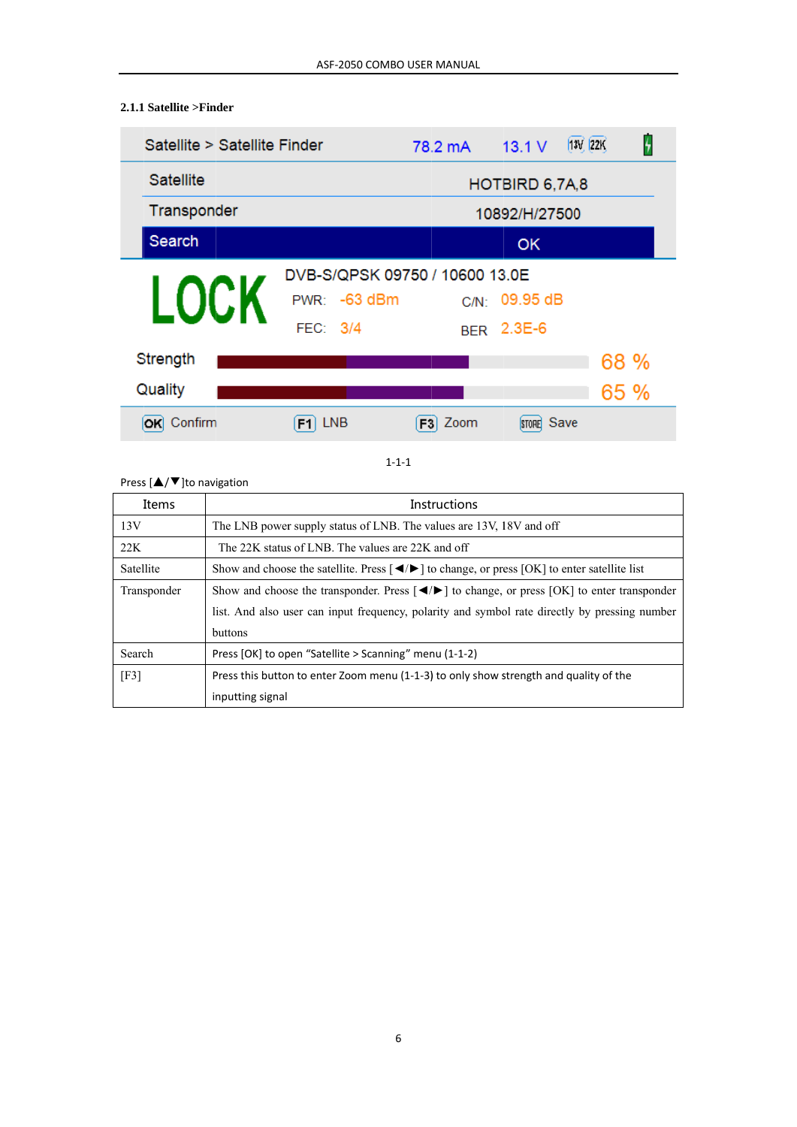#### $\overline{z}$ Satellite > Satellite Finder  $[13V, 22K]$ 78.2 mA  $13.1V$ Satellite HOTBIRD 6,7A,8 Transponder 10892/H/27500 Search **OK** DVB-S/QPSK 09750 / 10600 13.0E LOC. PWR: -63 dBm C/N: 09.95 dB FEC: 3/4 BER 2.3E-6 Strength 68 % Quality 65 % **OK** Confirm  $F1$  LNB  $F3$  Zoom **STORE** Save

#### $1 - 1 - 1$

#### Press  $[\triangle/\blacktriangledown]$ to navigation

2.1.1 Satellite >Finder

| Items       | <b>Instructions</b>                                                                                                                                                 |
|-------------|---------------------------------------------------------------------------------------------------------------------------------------------------------------------|
| 13V         | The LNB power supply status of LNB. The values are 13V, 18V and off                                                                                                 |
| 22K         | The 22K status of LNB. The values are 22K and off                                                                                                                   |
| Satellite   | Show and choose the satellite. Press $\left\{\blacktriangleleft/\blacktriangleright\right\}$ to change, or press $\left\{\text{OK}\right\}$ to enter satellite list |
| Transponder | Show and choose the transponder. Press $\left\{\blacktriangleleft\right\}$ to change, or press $\left\{\text{OK}\right\}$ to enter transponder                      |
|             | list. And also user can input frequency, polarity and symbol rate directly by pressing number                                                                       |
|             | <b>buttons</b>                                                                                                                                                      |
| Search      | Press [OK] to open "Satellite > Scanning" menu (1-1-2)                                                                                                              |
| [F3]        | Press this button to enter Zoom menu (1-1-3) to only show strength and quality of the                                                                               |
|             | inputting signal                                                                                                                                                    |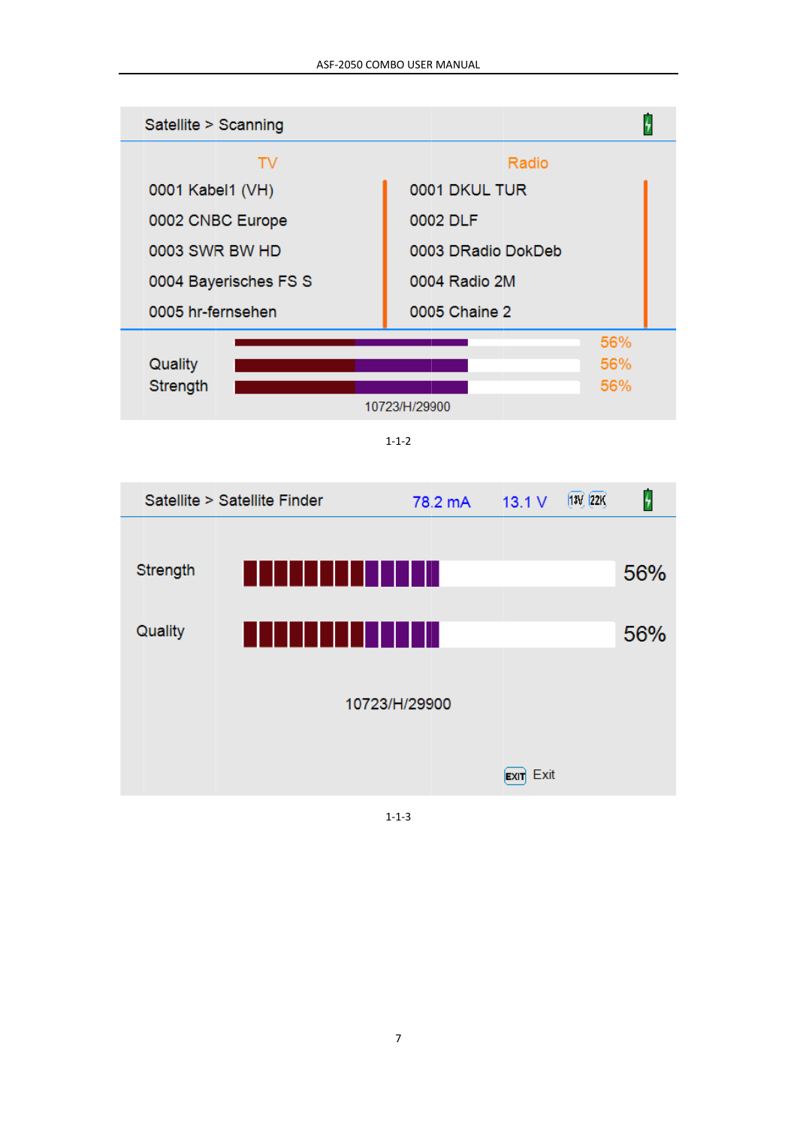

 $1 - 1 - 2$ 



 $1 - 1 - 3$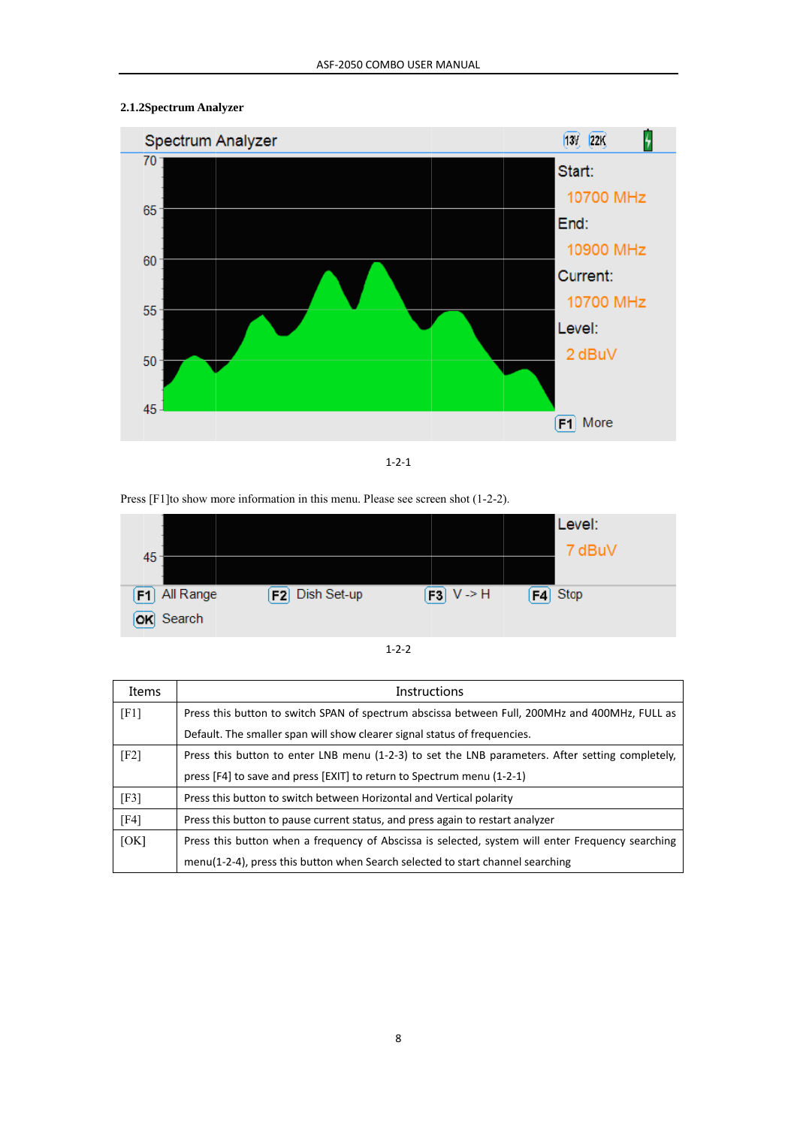### 2.1.2Spectrum Analyzer



 $1 - 2 - 1$ 

#### Press [F1] to show more information in this menu. Please see screen shot (1-2-2).



| Items | <b>Instructions</b>                                                                               |
|-------|---------------------------------------------------------------------------------------------------|
| [F1]  | Press this button to switch SPAN of spectrum abscissa between Full, 200MHz and 400MHz, FULL as    |
|       | Default. The smaller span will show clearer signal status of frequencies.                         |
| [F2]  | Press this button to enter LNB menu (1-2-3) to set the LNB parameters. After setting completely,  |
|       | press [F4] to save and press [EXIT] to return to Spectrum menu (1-2-1)                            |
| [F3]  | Press this button to switch between Horizontal and Vertical polarity                              |
| [F4]  | Press this button to pause current status, and press again to restart analyzer                    |
| [OK]  | Press this button when a frequency of Abscissa is selected, system will enter Frequency searching |
|       | menu(1-2-4), press this button when Search selected to start channel searching                    |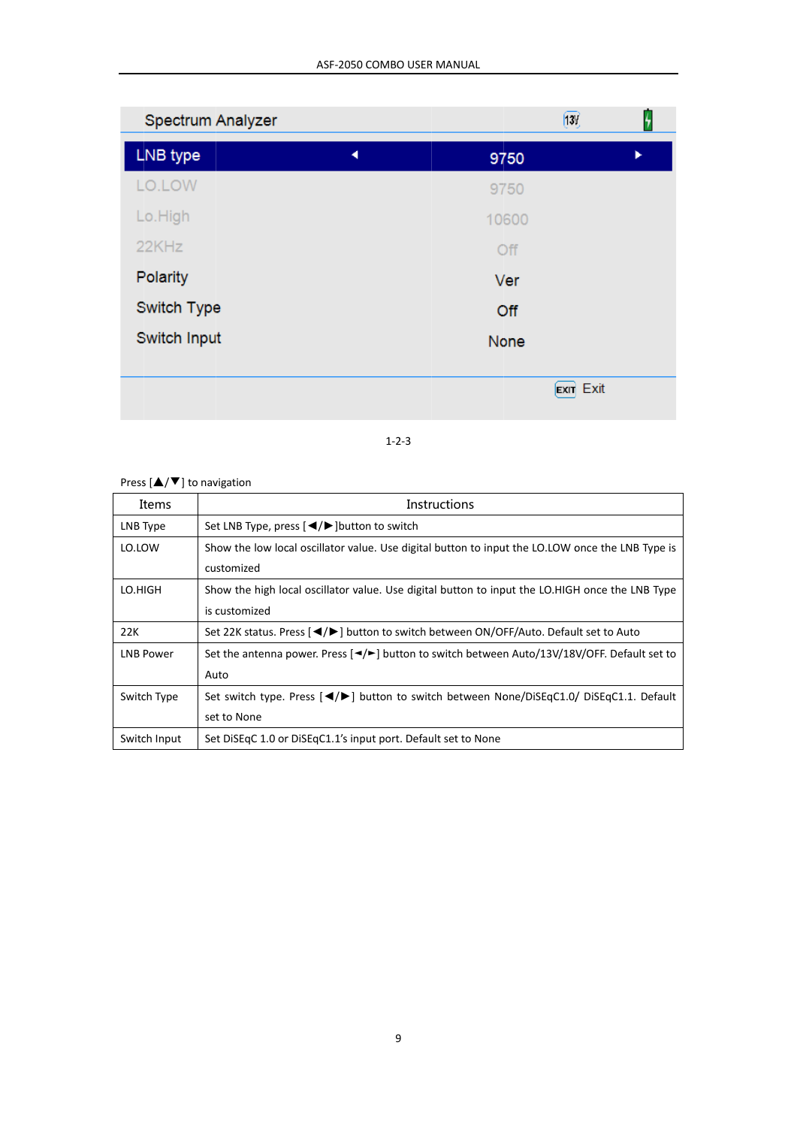| Spectrum Analyzer |   |       | [130]               |   |
|-------------------|---|-------|---------------------|---|
| LNB type          | ◀ | 9750  |                     | ь |
| LO.LOW            |   | 9750  |                     |   |
| Lo.High           |   | 10600 |                     |   |
| 22KHz             |   | Off   |                     |   |
| Polarity          |   | Ver   |                     |   |
| Switch Type       |   | Off   |                     |   |
| Switch Input      |   | None  |                     |   |
|                   |   |       |                     |   |
|                   |   |       | Exit<br><b>EXIT</b> |   |

#### $1 - 2 - 3$

# Press  $[\triangle/\blacktriangledown]$  to navigation

| Items            | Instructions                                                                                                                    |
|------------------|---------------------------------------------------------------------------------------------------------------------------------|
| LNB Type         | Set LNB Type, press $\left[ \blacktriangleleft / \blacktriangleright \right]$ button to switch                                  |
| LO.LOW           | Show the low local oscillator value. Use digital button to input the LO.LOW once the LNB Type is                                |
|                  | customized                                                                                                                      |
| LO.HIGH          | Show the high local oscillator value. Use digital button to input the LO.HIGH once the LNB Type                                 |
|                  | is customized                                                                                                                   |
| 22K              | Set 22K status. Press [◀/▶] button to switch between ON/OFF/Auto. Default set to Auto                                           |
| <b>LNB Power</b> | Set the antenna power. Press $\left[\frac{4}{5}\right]$ button to switch between Auto/13V/18V/OFF. Default set to               |
|                  | Auto                                                                                                                            |
| Switch Type      | Set switch type. Press [ $\blacktriangleleft/\blacktriangleright$ ] button to switch between None/DiSEqC1.0/ DiSEqC1.1. Default |
|                  | set to None                                                                                                                     |
| Switch Input     | Set DiSEqC 1.0 or DiSEqC1.1's input port. Default set to None                                                                   |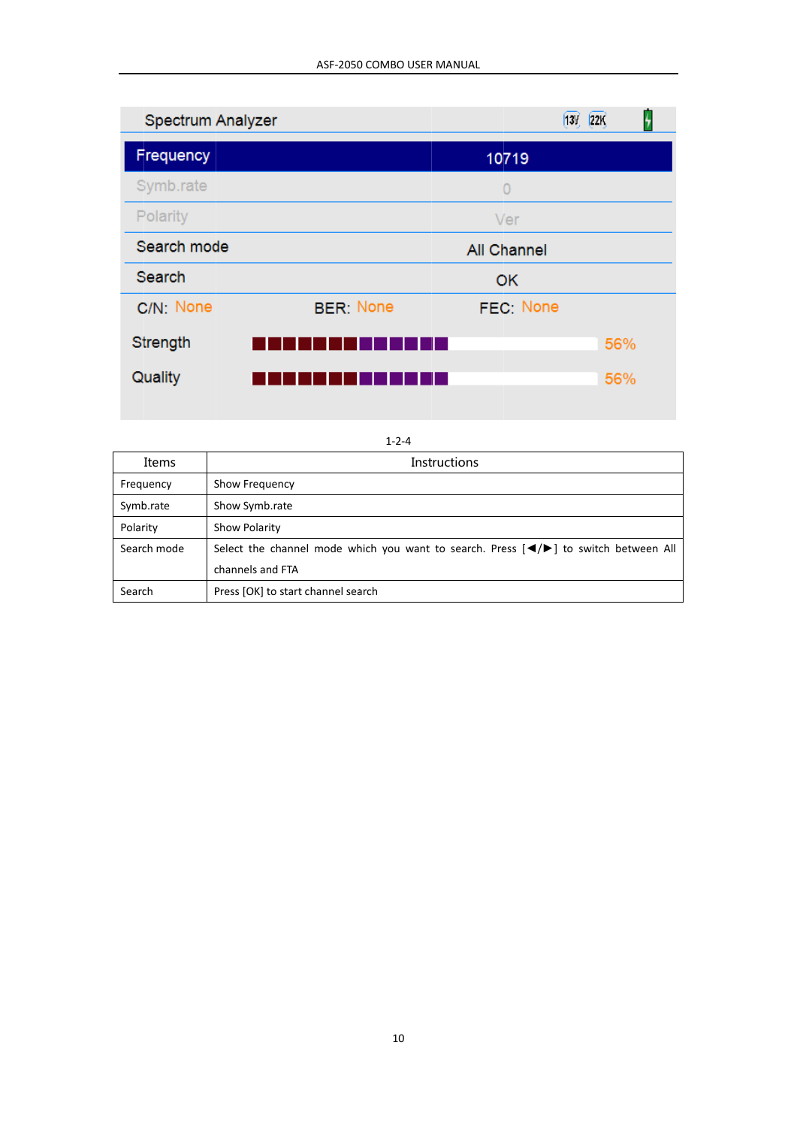| Spectrum Analyzer |                  |                    | [22]<br>[13V] |  |
|-------------------|------------------|--------------------|---------------|--|
| Frequency         |                  | 10719              |               |  |
| Symb.rate         |                  | $\Omega$           |               |  |
| Polarity          |                  | Ver                |               |  |
| Search mode       |                  | <b>All Channel</b> |               |  |
| Search            |                  | OK                 |               |  |
| C/N: None         | <b>BER: None</b> | FEC: None          |               |  |
| Strength          |                  |                    | 56%           |  |
| Quality           |                  |                    | 56%           |  |

| $1 - 2 - 4$ |                                                                                                                                     |  |
|-------------|-------------------------------------------------------------------------------------------------------------------------------------|--|
| Items       | <b>Instructions</b>                                                                                                                 |  |
| Frequency   | Show Frequency                                                                                                                      |  |
| Symb.rate   | Show Symb.rate                                                                                                                      |  |
| Polarity    | Show Polarity                                                                                                                       |  |
| Search mode | Select the channel mode which you want to search. Press $\left[\blacktriangleleft/\blacktriangleright\right]$ to switch between All |  |
|             | channels and FTA                                                                                                                    |  |
| Search      | Press [OK] to start channel search                                                                                                  |  |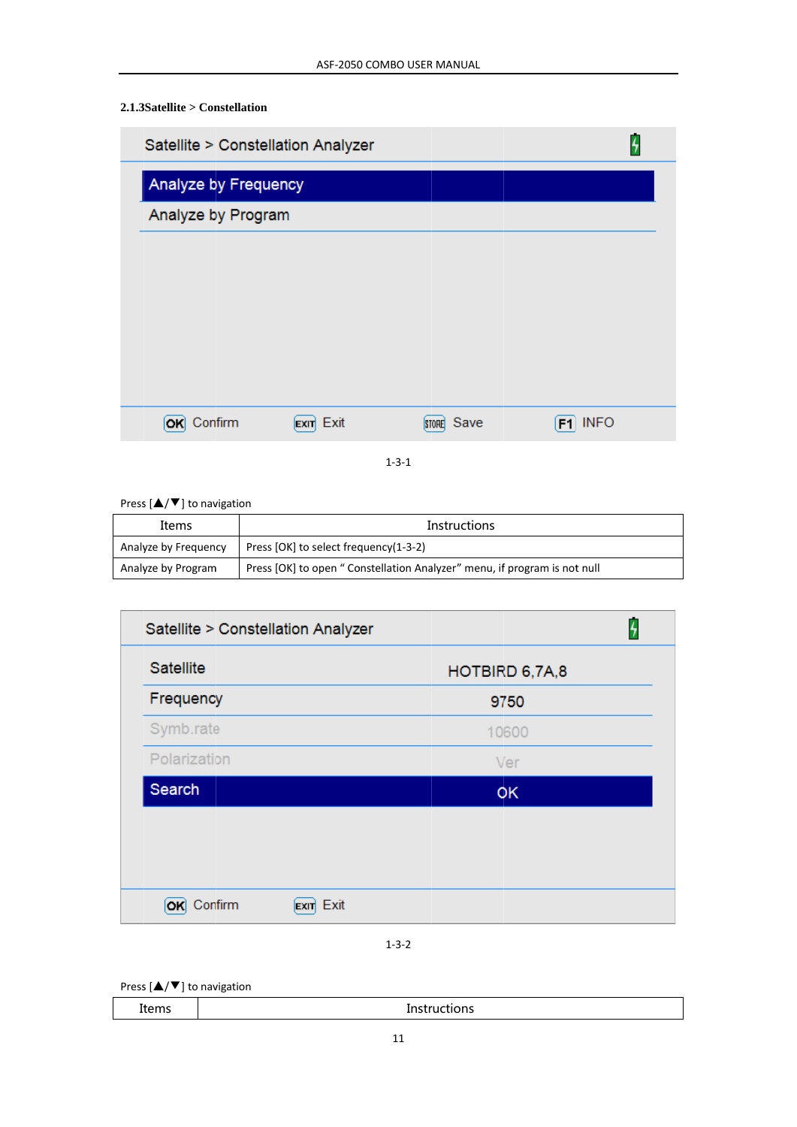# $2.1.3$ Satellite > Constellation

| Satellite > Constellation Analyzer |                     |                      |                   |
|------------------------------------|---------------------|----------------------|-------------------|
| Analyze by Frequency               |                     |                      |                   |
| Analyze by Program                 |                     |                      |                   |
|                                    |                     |                      |                   |
|                                    |                     |                      |                   |
|                                    |                     |                      |                   |
|                                    |                     |                      |                   |
|                                    |                     |                      |                   |
| Confirm<br>ЮK                      | Exit<br><b>EXIT</b> | Save<br><b>STORE</b> | <b>INFO</b><br>F1 |

 $1 - 3 - 1$ 

Press  $[\triangle/\blacktriangledown]$  to navigation

| Items                | <b>Instructions</b>                                                      |
|----------------------|--------------------------------------------------------------------------|
| Analyze by Frequency | Press [OK] to select frequency(1-3-2)                                    |
| Analyze by Program   | Press [OK] to open "Constellation Analyzer" menu, if program is not null |

| Satellite > Constellation Analyzer   |                |  |  |
|--------------------------------------|----------------|--|--|
| Satellite                            | HOTBIRD 6,7A,8 |  |  |
| Frequency                            | 9750           |  |  |
| Symb.rate                            | 10600          |  |  |
| Polarization                         | Ver            |  |  |
| Search                               | OK             |  |  |
|                                      |                |  |  |
|                                      |                |  |  |
|                                      |                |  |  |
| Exit<br>Confirm<br>ЮK<br><b>EXIT</b> |                |  |  |

 $1 - 3 - 2$ 

Press  $[\triangle/\blacktriangledown]$  to navigation

| ----<br>TICIIIS | .<br>--<br>כו וי |
|-----------------|------------------|
|                 |                  |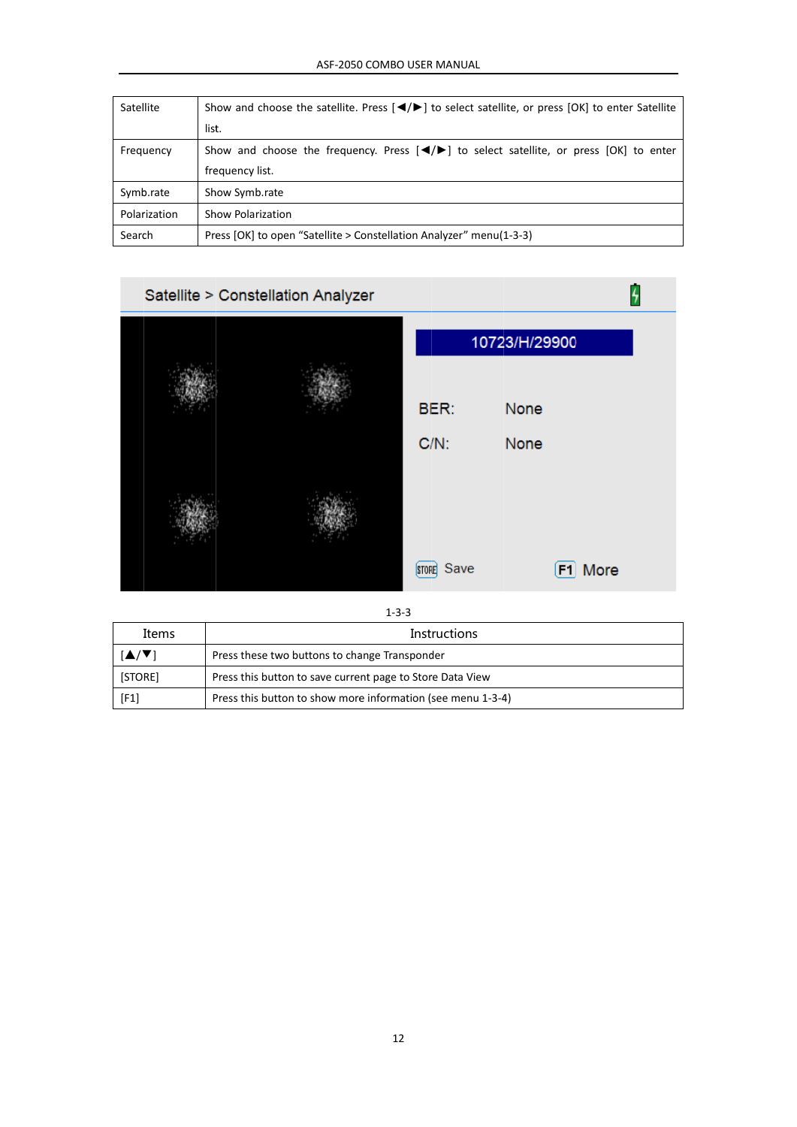| <b>Satellite</b> | Show and choose the satellite. Press $\left \frac{4}{5}\right $ to select satellite, or press $[OK]$ to enter Satellite |  |  |  |  |
|------------------|-------------------------------------------------------------------------------------------------------------------------|--|--|--|--|
|                  | list.                                                                                                                   |  |  |  |  |
| Frequency        | Show and choose the frequency. Press $\left[\frac{4}{5}\right]$ to select satellite, or press [OK] to enter             |  |  |  |  |
|                  | frequency list.                                                                                                         |  |  |  |  |
| Symb.rate        | Show Symb.rate                                                                                                          |  |  |  |  |
| Polarization     | <b>Show Polarization</b>                                                                                                |  |  |  |  |
| Search           | Press [OK] to open "Satellite > Constellation Analyzer" menu(1-3-3)                                                     |  |  |  |  |



 $1 - 3 - 3$ 

| Items   | <b>Instructions</b>                                         |  |
|---------|-------------------------------------------------------------|--|
|         | Press these two buttons to change Transponder               |  |
| [STORE] | Press this button to save current page to Store Data View   |  |
| [F1]    | Press this button to show more information (see menu 1-3-4) |  |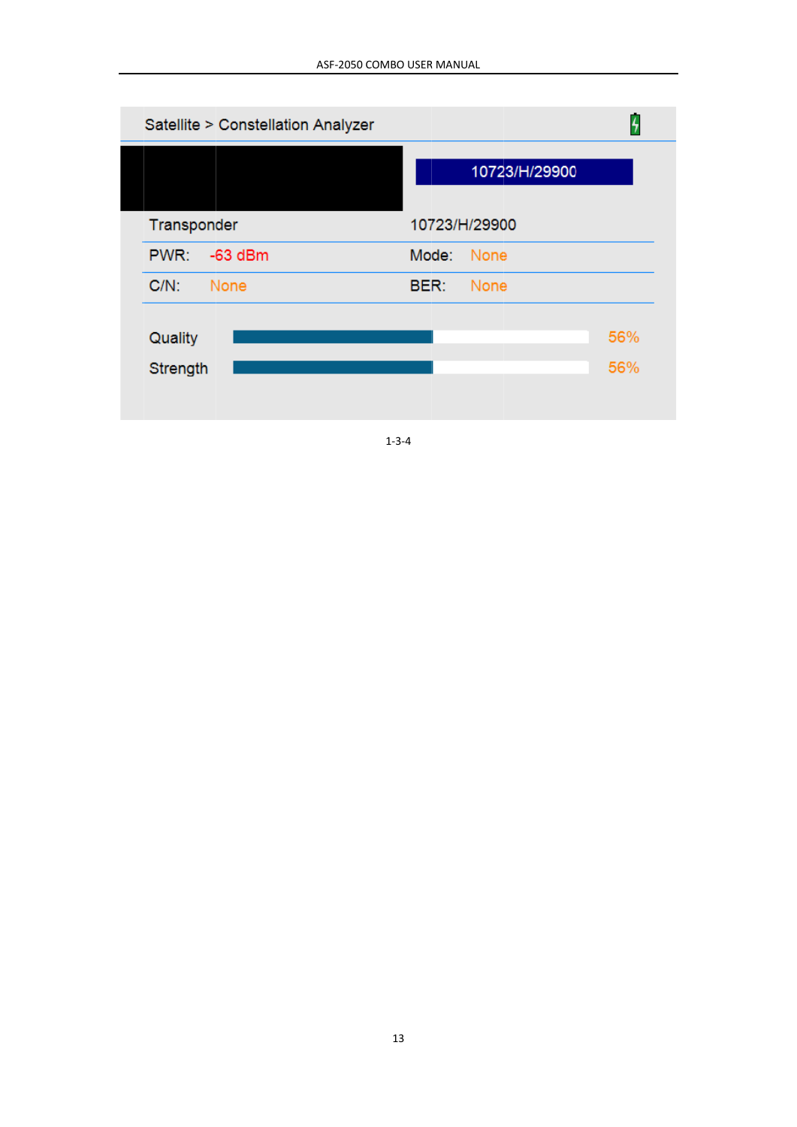| 4             |
|---------------|
| 10723/H/29900 |
|               |
|               |
|               |
| 56%           |
| 56%           |
|               |

 $1 - 3 - 4$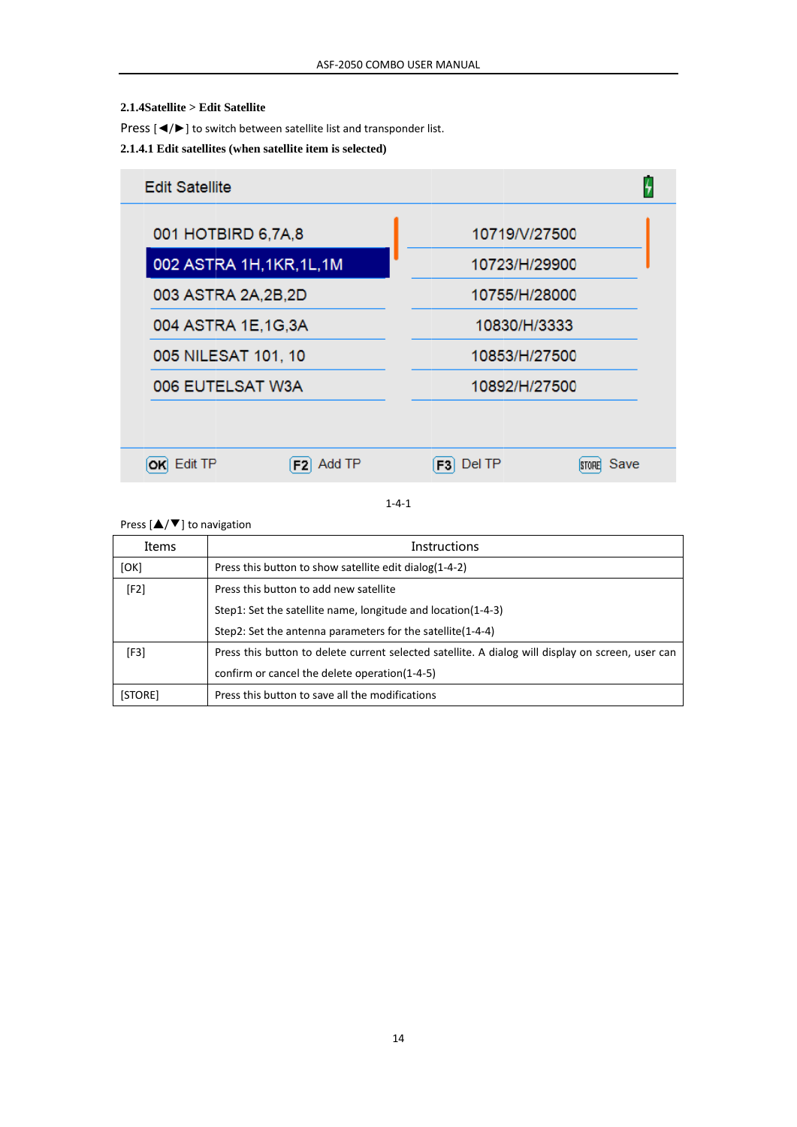#### 2.1.4Satellite > Edit Satellite

Press  $\left[\blacktriangleleft/\blacktriangleright\right]$  to switch between satellite list and transponder list.

#### 2.1.4.1 Edit satellites (when satellite item is selected)



 $1 - 4 - 1$ 

Press  $[\triangle/\blacktriangledown]$  to navigation

| Items   | <b>Instructions</b>                                                                               |  |  |  |  |  |
|---------|---------------------------------------------------------------------------------------------------|--|--|--|--|--|
| [OK]    | Press this button to show satellite edit dialog(1-4-2)                                            |  |  |  |  |  |
| [F2]    | Press this button to add new satellite                                                            |  |  |  |  |  |
|         | Step1: Set the satellite name, longitude and location(1-4-3)                                      |  |  |  |  |  |
|         | Step2: Set the antenna parameters for the satellite(1-4-4)                                        |  |  |  |  |  |
| [F3]    | Press this button to delete current selected satellite. A dialog will display on screen, user can |  |  |  |  |  |
|         | confirm or cancel the delete operation(1-4-5)                                                     |  |  |  |  |  |
| [STORE] | Press this button to save all the modifications                                                   |  |  |  |  |  |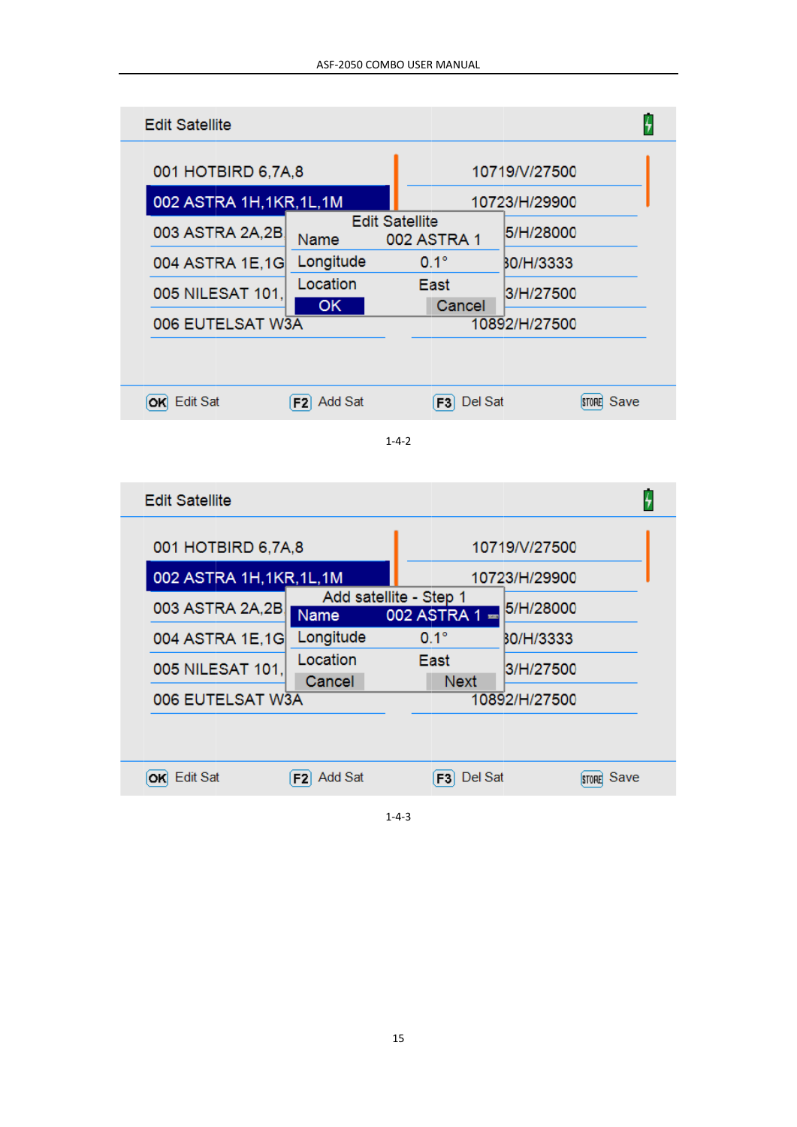| <b>Edit Satellite</b>     |                                |                                      | ł                 |  |
|---------------------------|--------------------------------|--------------------------------------|-------------------|--|
| 001 HOTBIRD 6,7A,8        |                                |                                      | 10719/V/27500     |  |
| 002 ASTRA 1H, 1KR, 1L, 1M |                                | 10723/H/29900                        |                   |  |
| 003 ASTRA 2A,2B           | Name                           | <b>Edit Satellite</b><br>002 ASTRA 1 | 5/H/28000         |  |
| 004 ASTRA 1E,1G           | Longitude                      | $0.1^\circ$                          | BO/H/3333         |  |
| 005 NILESAT 101.          | Location<br>OK.                | East<br>Cancel                       | 3/H/27500         |  |
| 006 EUTELSAT W3A          |                                |                                      | 10892/H/27500     |  |
|                           |                                |                                      |                   |  |
| OK Edit Sat               | F <sub>2</sub> Add Sat         | F3 Del Sat                           | <b>STORE</b> Save |  |
| <b>Edit Satellite</b>     |                                | $1 - 4 - 2$                          | ŀ,                |  |
| 001 HOTBIRD 6,7A,8        |                                |                                      | 10719/V/27500     |  |
| 002 ASTRA 1H, 1KR, 1L, 1M |                                | 10723/H/29900                        |                   |  |
| 003 ASTRA 2A,2B           | Add satellite - Step 1<br>Name | $002$ ASTRA 1 $=$                    | 5/H/28000         |  |
| 004 ASTRA 1E,1G           | Longitude                      | $0.1^\circ$                          | BO/H/3333         |  |
| 005 NILESAT 101,          | Location<br>Cancel             | East<br><b>Next</b>                  | 3/H/27500         |  |
| 006 EUTELSAT W3A          |                                |                                      | 10892/H/27500     |  |
|                           |                                |                                      |                   |  |
|                           |                                |                                      |                   |  |

 $1 - 4 - 3$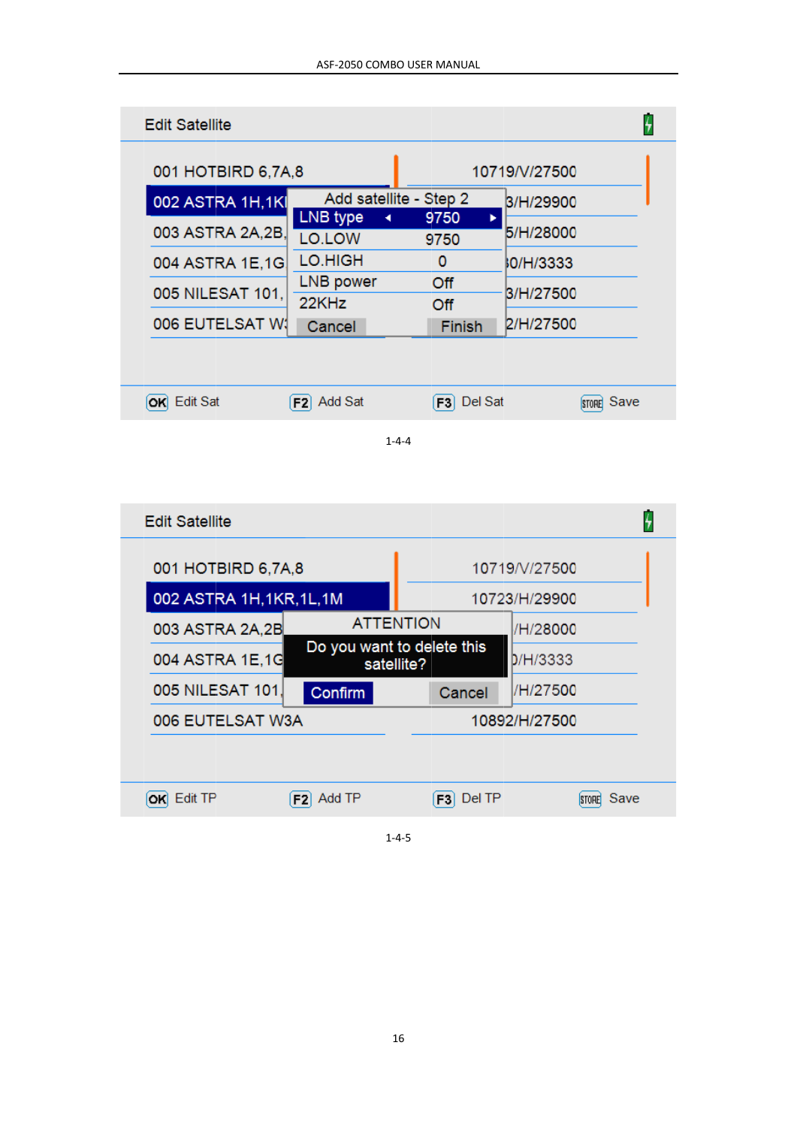| <b>Edit Satellite</b> |                           |                        |                      |  |
|-----------------------|---------------------------|------------------------|----------------------|--|
| 001 HOTBIRD 6,7A,8    |                           |                        | 10719/V/27500        |  |
| 002 ASTRA 1H,1KI      |                           | Add satellite - Step 2 | B/H/29900            |  |
| 003 ASTRA 2A,2B,      | LNB type<br>◀<br>LO.LOW   | 9750<br>ь<br>9750      | 5/H/28000            |  |
| 004 ASTRA 1E,1G       | LO.HIGH                   | 0                      | <b>0/H/3333</b>      |  |
| 005 NILESAT 101.      | LNB power<br>22KHz        | Off<br>Off             | B/H/27500            |  |
| 006 EUTELSAT W1       | Cancel                    | <b>Finish</b>          | 2/H/27500            |  |
|                       |                           |                        |                      |  |
| Edit Sat<br>OKI       | Add Sat<br>F <sub>2</sub> | Del Sat<br>F3I         | Save<br><b>STORE</b> |  |
|                       |                           |                        |                      |  |

 $1 - 4 - 4$ 

| <b>Edit Satellite</b>     |                                          |                  |                          |               |                      |  |
|---------------------------|------------------------------------------|------------------|--------------------------|---------------|----------------------|--|
| 001 HOTBIRD 6,7A,8        |                                          |                  |                          | 10719/V/27500 |                      |  |
| 002 ASTRA 1H, 1KR, 1L, 1M |                                          | 10723/H/29900    |                          |               |                      |  |
| 003 ASTRA 2A,2B           |                                          | <b>ATTENTION</b> |                          |               | /H/28000             |  |
| 004 ASTRA 1E,1G           | Do you want to delete this<br>satellite? |                  | D/H/3333                 |               |                      |  |
| 005 NILESAT 101.          | Confirm<br>Cancel                        |                  | /H/27500                 |               |                      |  |
| 006 EUTELSAT W3A          |                                          |                  | 10892/H/27500            |               |                      |  |
|                           |                                          |                  |                          |               |                      |  |
| Edit TP                   | F <sub>2</sub> Add TP                    |                  | Del TP<br>F <sub>3</sub> |               | Save<br><b>STORE</b> |  |
|                           |                                          |                  |                          |               |                      |  |

 $1 - 4 - 5$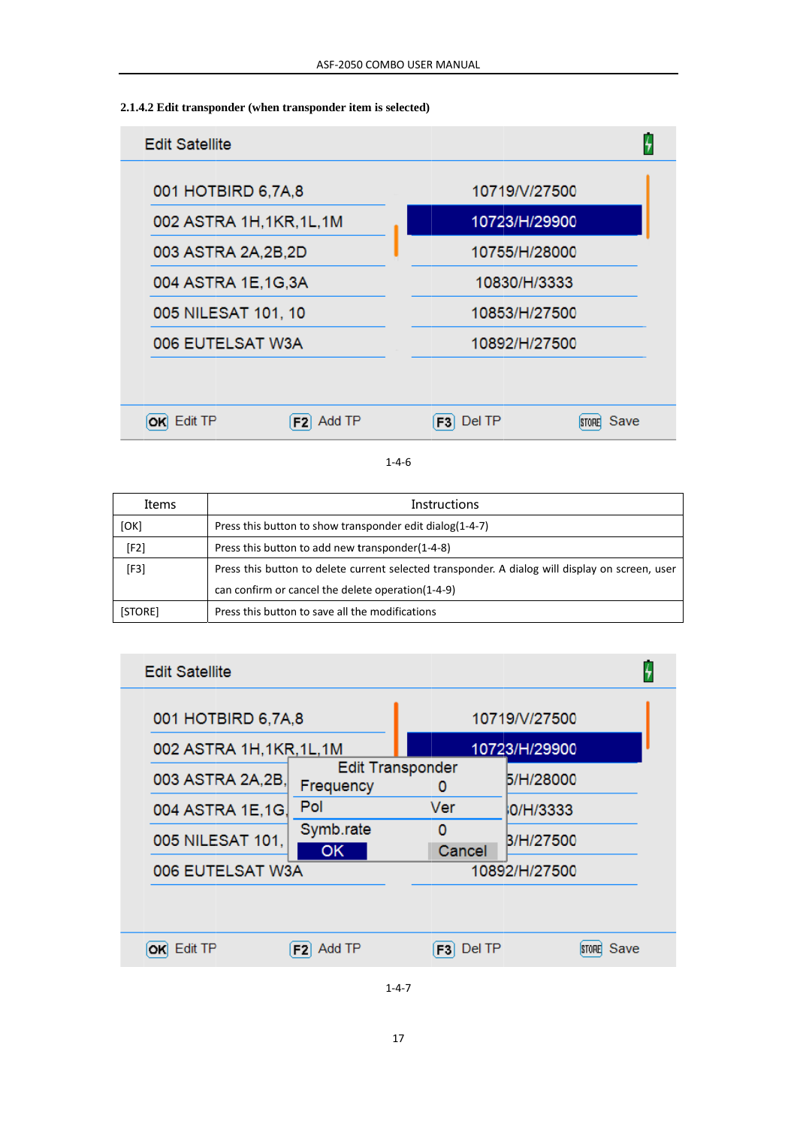#### 2.1.4.2 Edit transponder (when transponder item is selected)



#### $1 - 4 - 6$

| Items   | Instructions                                                                                    |
|---------|-------------------------------------------------------------------------------------------------|
| [OK]    | Press this button to show transponder edit dialog(1-4-7)                                        |
| [F2]    | Press this button to add new transponder(1-4-8)                                                 |
| [F3]    | Press this button to delete current selected transponder. A dialog will display on screen, user |
|         | can confirm or cancel the delete operation(1-4-9)                                               |
| [STORE] | Press this button to save all the modifications                                                 |

| <b>Edit Satellite</b>     |                          |                              |                      |  |
|---------------------------|--------------------------|------------------------------|----------------------|--|
| 001 HOTBIRD 6,7A,8        |                          |                              | 10719/V/27500        |  |
| 002 ASTRA 1H, 1KR, 1L, 1M |                          |                              | 10723/H/29900        |  |
| 003 ASTRA 2A, 2B,         | Frequency                | <b>Edit Transponder</b><br>O | 5/H/28000            |  |
| 004 ASTRA 1E,1G.          | Pol                      | Ver                          | 0/H/3333             |  |
| 005 NILESAT 101,          | Symb.rate<br>OK          | 0<br>Cancel                  | B/H/27500            |  |
| 006 EUTELSAT W3A          |                          |                              | 10892/H/27500        |  |
|                           |                          |                              |                      |  |
| Edit TP                   | Add TP<br>F <sub>2</sub> | Del TP<br>F3I                | Save<br><b>STORE</b> |  |
|                           |                          |                              |                      |  |

 $1 - 4 - 7$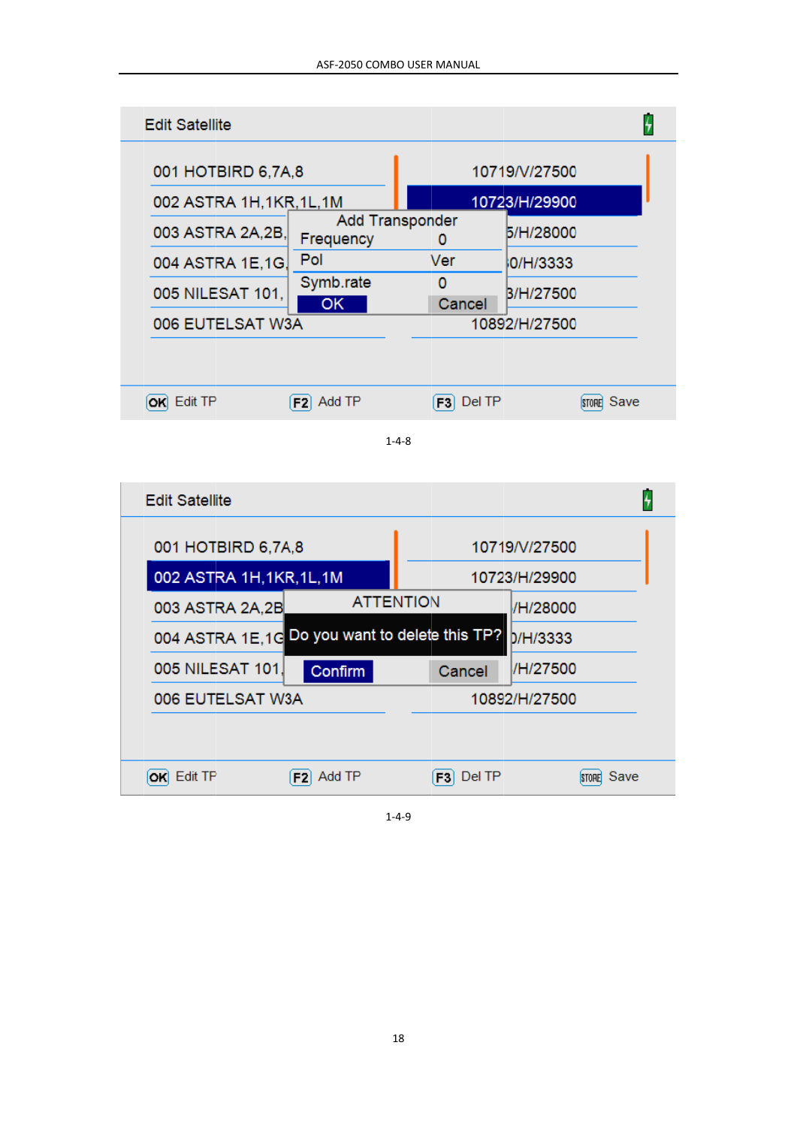| <b>Edit Satellite</b>                           |                        |                             |               | 4                 |  |  |
|-------------------------------------------------|------------------------|-----------------------------|---------------|-------------------|--|--|
| 001 HOTBIRD 6,7A,8                              | 10719/V/27500          |                             |               |                   |  |  |
| 002 ASTRA 1H,1KR,1L,1M                          |                        | 10723/H/29900               |               |                   |  |  |
| 003 ASTRA 2A,2B,                                | Frequency              | <b>Add Transponder</b><br>0 | 5/H/28000     |                   |  |  |
| 004 ASTRA 1E,1G,                                | Pol                    | Ver                         | 0/H/3333      |                   |  |  |
| 005 NILESAT 101,                                | Symb.rate<br><b>OK</b> | 0<br>Cancel                 | B/H/27500     |                   |  |  |
| 006 EUTELSAT W3A                                |                        |                             | 10892/H/27500 |                   |  |  |
|                                                 |                        |                             |               |                   |  |  |
| OK Edit TP                                      | $F2$ Add TP            | Del TP<br>$\boxed{F3}$      |               | <b>STORE</b> Save |  |  |
| $1 - 4 - 8$                                     |                        |                             |               |                   |  |  |
| <b>Edit Satellite</b>                           |                        |                             |               | 4                 |  |  |
| 001 HOTBIRD 6,7A,8                              |                        |                             | 10719/V/27500 |                   |  |  |
| 002 ASTRA 1H, 1KR, 1L, 1M                       |                        |                             | 10723/H/29900 |                   |  |  |
| 003 ASTRA 2A,2B                                 | <b>ATTENTION</b>       |                             | /H/28000      |                   |  |  |
| 004 ASTRA 1E, 1G Do you want to delete this TP? |                        |                             | D/H/3333      |                   |  |  |
| 005 NILESAT 101,                                | Confirm                | Cancel                      | /H/27500      |                   |  |  |
| 006 EUTELSAT W3A                                | 10892/H/27500          |                             |               |                   |  |  |
|                                                 |                        |                             |               |                   |  |  |
| OK Edit TP                                      | F2 Add TP              | $F3$ Del TP                 |               | STORE Save        |  |  |

 $1 - 4 - 9$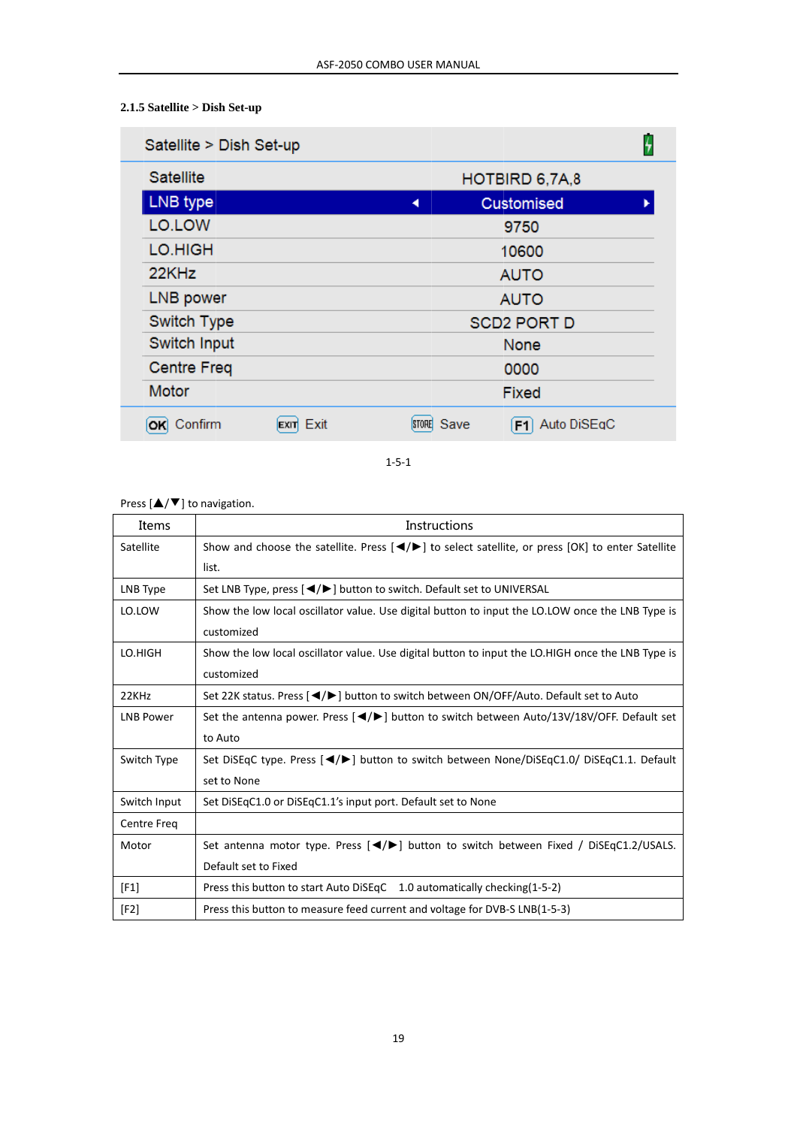# $2.1.5$  Satellite  $>$  Dish Set-up

| Satellite > Dish Set-up |      |                      |                    |  |
|-------------------------|------|----------------------|--------------------|--|
| <b>Satellite</b>        |      |                      | HOTBIRD 6,7A,8     |  |
| LNB type                |      | ◀                    | <b>Customised</b>  |  |
| LO.LOW                  |      |                      | 9750               |  |
| LO.HIGH                 |      |                      | 10600              |  |
| 22KHz                   |      |                      | <b>AUTO</b>        |  |
| LNB power               |      |                      | <b>AUTO</b>        |  |
| Switch Type             |      |                      | <b>SCD2 PORT D</b> |  |
| Switch Input            |      |                      | None               |  |
| <b>Centre Freq</b>      |      |                      | 0000               |  |
| Motor                   |      |                      | Fixed              |  |
| Confirm<br>ОΚ           | Exit | Save<br><b>STORE</b> | Auto DiSEqC<br>F1  |  |

 $1 - 5 - 1$ 

Press  $[\triangle/\blacktriangledown]$  to navigation.

j

| Items              | Instructions                                                                                                                       |
|--------------------|------------------------------------------------------------------------------------------------------------------------------------|
| Satellite          | Show and choose the satellite. Press $\left \frac{4}{5}\right $ to select satellite, or press $\left 0K\right $ to enter Satellite |
|                    | list.                                                                                                                              |
| LNB Type           | Set LNB Type, press [◀/▶] button to switch. Default set to UNIVERSAL                                                               |
| LO.LOW             | Show the low local oscillator value. Use digital button to input the LO.LOW once the LNB Type is                                   |
|                    | customized                                                                                                                         |
| LO.HIGH            | Show the low local oscillator value. Use digital button to input the LO.HIGH once the LNB Type is                                  |
|                    | customized                                                                                                                         |
| 22KHz              | Set 22K status. Press [◀/▶] button to switch between ON/OFF/Auto. Default set to Auto                                              |
| <b>LNB Power</b>   | Set the antenna power. Press $\left[\bigtriangleup\right]$ button to switch between Auto/13V/18V/OFF. Default set                  |
|                    | to Auto                                                                                                                            |
| Switch Type        | Set DiSEqC type. Press [ $\blacktriangleleft/\blacktriangleright$ ] button to switch between None/DiSEqC1.0/ DiSEqC1.1. Default    |
|                    | set to None                                                                                                                        |
| Switch Input       | Set DiSEqC1.0 or DiSEqC1.1's input port. Default set to None                                                                       |
| <b>Centre Freq</b> |                                                                                                                                    |
| Motor              | Set antenna motor type. Press [ / / >   button to switch between Fixed / DiSEqC1.2/USALS.                                          |
|                    | Default set to Fixed                                                                                                               |
| [F1]               | Press this button to start Auto DiSEqC 1.0 automatically checking(1-5-2)                                                           |
| [F2]               | Press this button to measure feed current and voltage for DVB-S LNB(1-5-3)                                                         |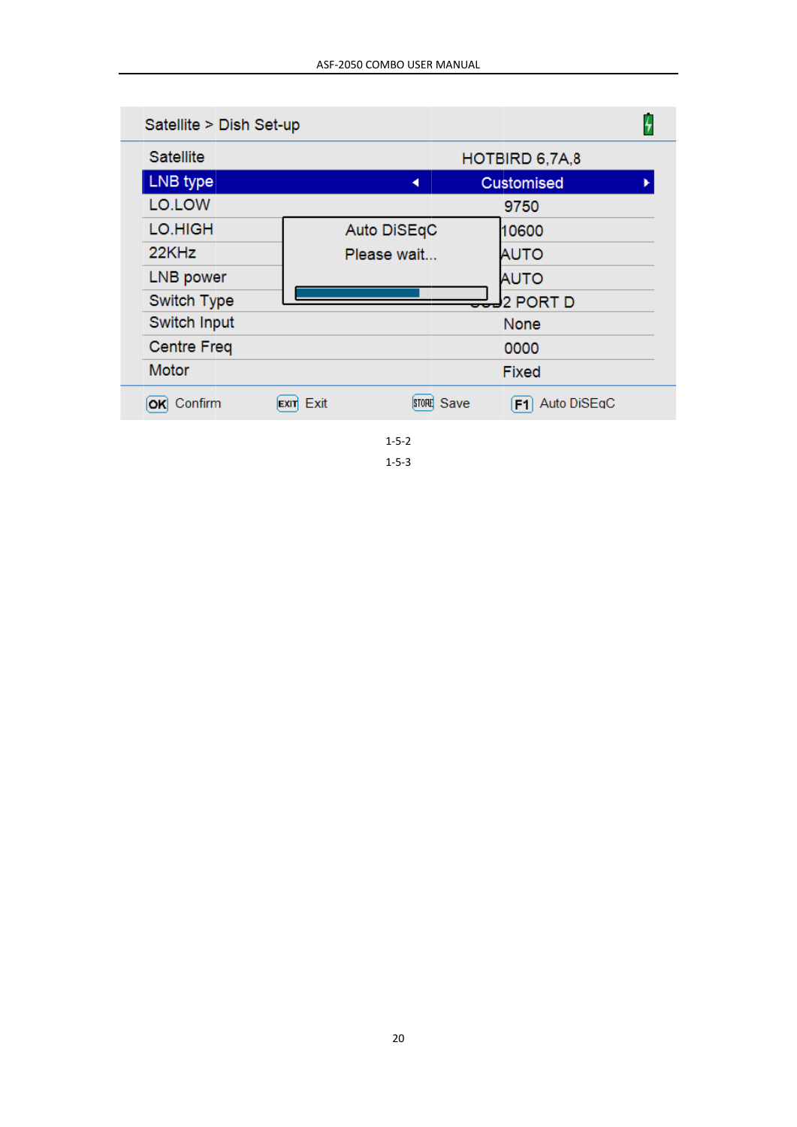| Satellite > Dish Set-up |                                   |                               |  |
|-------------------------|-----------------------------------|-------------------------------|--|
| Satellite               |                                   | HOTBIRD 6,7A,8                |  |
| LNB type                | ◢                                 | <b>Customised</b>             |  |
| LO.LOW                  |                                   | 9750                          |  |
| LO.HIGH                 | Auto DiSEqC                       | 10600                         |  |
| 22KHz                   | Please wait                       | AUTO                          |  |
| <b>LNB</b> power        |                                   | <b>AUTO</b>                   |  |
| Switch Type             |                                   | 2 PORT D                      |  |
| Switch Input            |                                   | None                          |  |
| <b>Centre Freq</b>      |                                   | 0000                          |  |
| Motor                   |                                   | <b>Fixed</b>                  |  |
| Confirm<br>ОΚ           | Exit<br>STORE Save<br><b>EXIT</b> | Auto DiSEqC<br>F <sub>1</sub> |  |

 $1 - 5 - 2$ 

 $1 - 5 - 3$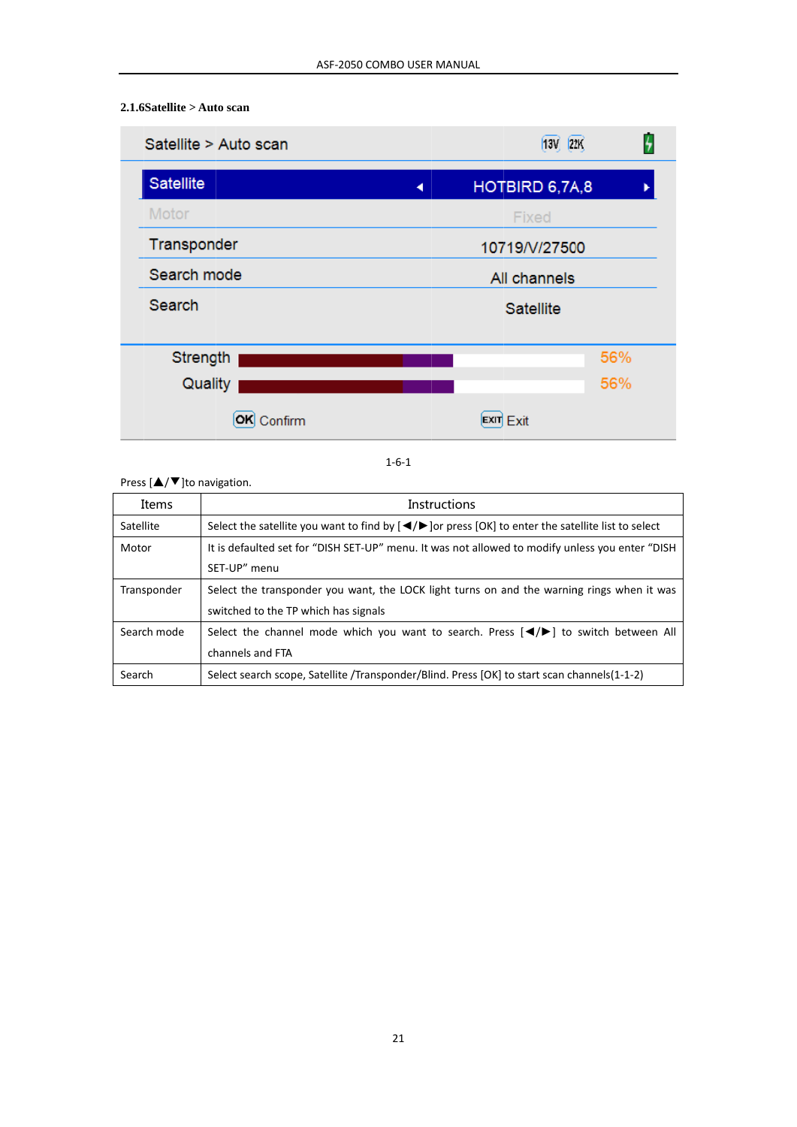#### 2.1.6Satellite > Auto scan



 $1 - 6 - 1$ 

Press  $[\triangle/\blacktriangledown]$ to navigation.

| Items       | <b>Instructions</b>                                                                                                                  |
|-------------|--------------------------------------------------------------------------------------------------------------------------------------|
| Satellite   | Select the satellite you want to find by $\left(\frac{4}{5}\right)$ or press $\left[0K\right]$ to enter the satellite list to select |
| Motor       | It is defaulted set for "DISH SET-UP" menu. It was not allowed to modify unless you enter "DISH                                      |
|             | SET-UP" menu                                                                                                                         |
| Transponder | Select the transponder you want, the LOCK light turns on and the warning rings when it was                                           |
|             | switched to the TP which has signals                                                                                                 |
| Search mode | Select the channel mode which you want to search. Press $\Box$ $\Diamond$ to switch between All                                      |
|             | channels and FTA                                                                                                                     |
| Search      | Select search scope, Satellite /Transponder/Blind. Press [OK] to start scan channels(1-1-2)                                          |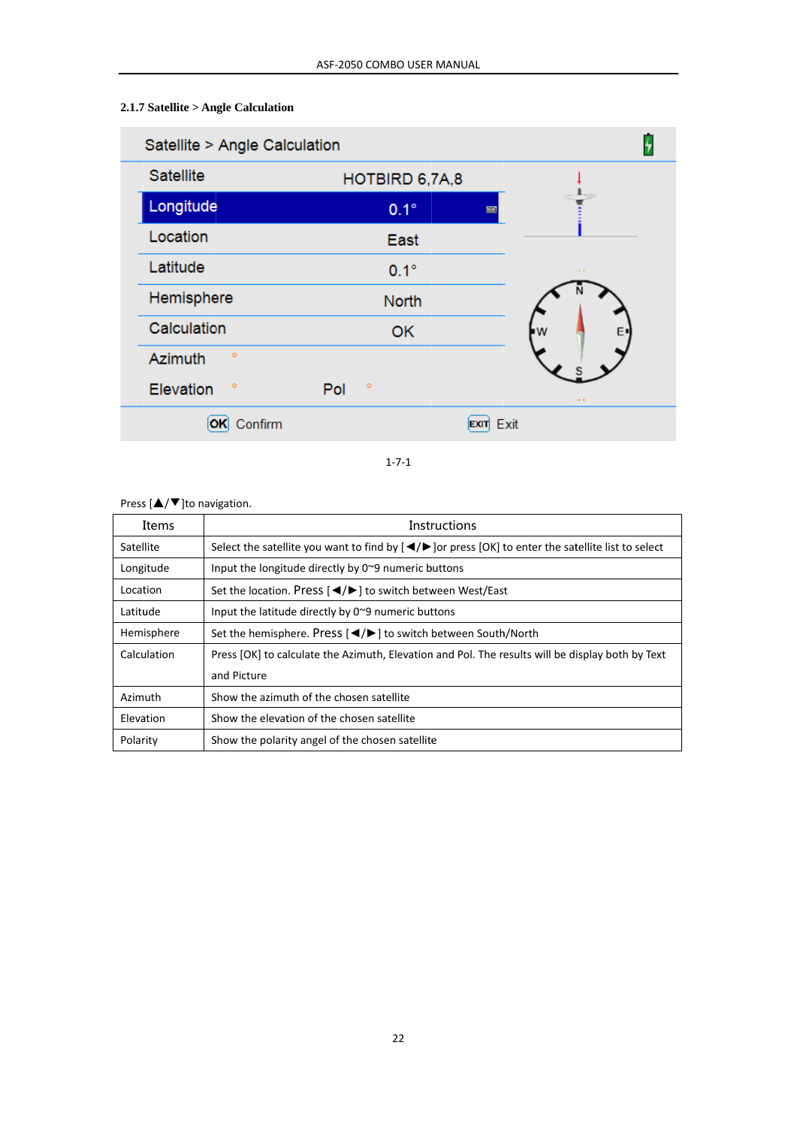# 2.1.7 Satellite > Angle Calculation

| Satellite > Angle Calculation |                |                     |             |
|-------------------------------|----------------|---------------------|-------------|
| Satellite                     | HOTBIRD 6,7A,8 |                     |             |
| Longitude                     | $0.1^\circ$    | 圔                   |             |
| Location                      | East           |                     |             |
| Latitude                      | $0.1^\circ$    |                     | $1 - 1 = 1$ |
| Hemisphere                    | <b>North</b>   |                     |             |
| Calculation                   | OK             | W                   |             |
| $\circ$<br><b>Azimuth</b>     |                |                     |             |
| ۰<br>Elevation                | ۰<br>Pol       |                     | 111         |
| Confirm                       |                | Exit<br><b>EXIT</b> |             |
|                               |                |                     |             |

 $1 - 7 - 1$ 

### Press  $[\triangle/\blacktriangledown]$ to navigation.

| Items       | Instructions                                                                                                                                                              |
|-------------|---------------------------------------------------------------------------------------------------------------------------------------------------------------------------|
| Satellite   | Select the satellite you want to find by $\left\lfloor \frac{4}{5} \right\rfloor$ or press $\left\lfloor \frac{6}{5} \right\rfloor$ to enter the satellite list to select |
| Longitude   | Input the longitude directly by $0^{\sim}9$ numeric buttons                                                                                                               |
| Location    | Set the location. Press [◀/▶] to switch between West/East                                                                                                                 |
| Latitude    | Input the latitude directly by 0~9 numeric buttons                                                                                                                        |
| Hemisphere  | Set the hemisphere. Press $\left[ \bigtriangleup \right]$ to switch between South/North                                                                                   |
| Calculation | Press [OK] to calculate the Azimuth, Elevation and Pol. The results will be display both by Text                                                                          |
|             | and Picture                                                                                                                                                               |
| Azimuth     | Show the azimuth of the chosen satellite                                                                                                                                  |
| Elevation   | Show the elevation of the chosen satellite                                                                                                                                |
| Polarity    | Show the polarity angel of the chosen satellite                                                                                                                           |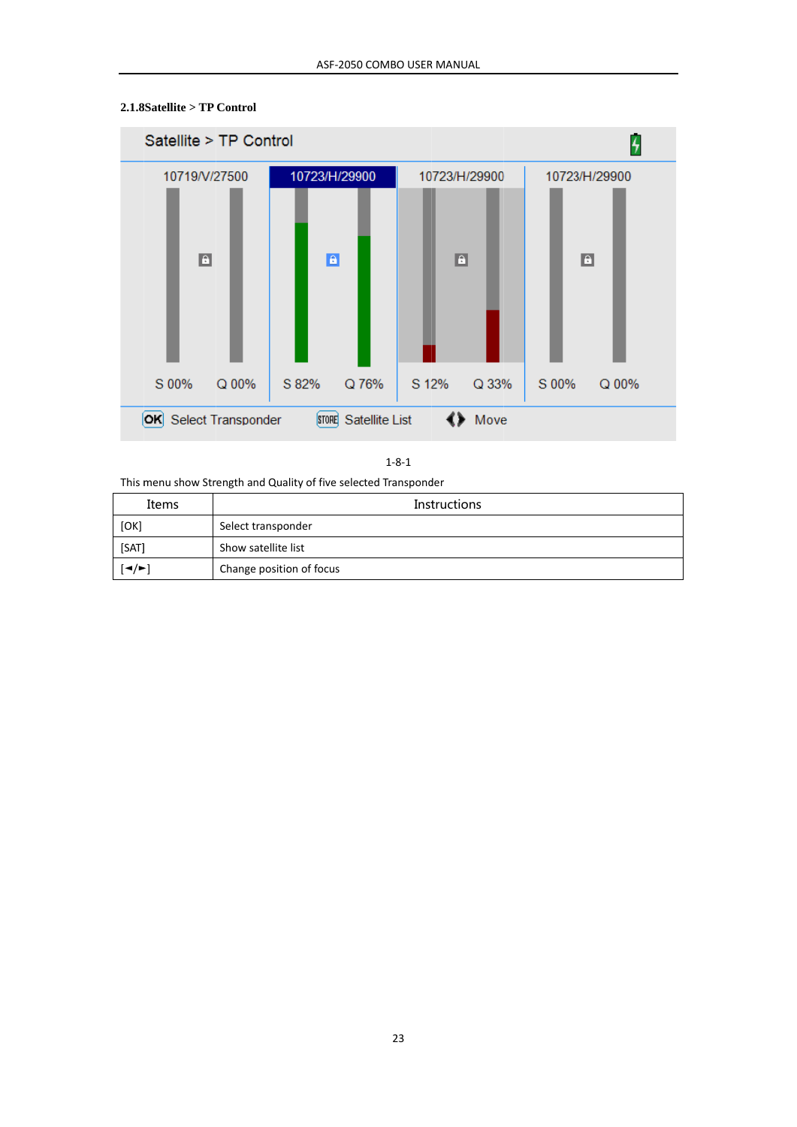

### 2.1.8Satellite > TP Control

 $1 - 8 - 1$ 

This menu show Strength and Quality of five selected Transponder

| Items | <b>Instructions</b>      |
|-------|--------------------------|
| [OK]  | Select transponder       |
| [SAT] | Show satellite list      |
| [◄/►] | Change position of focus |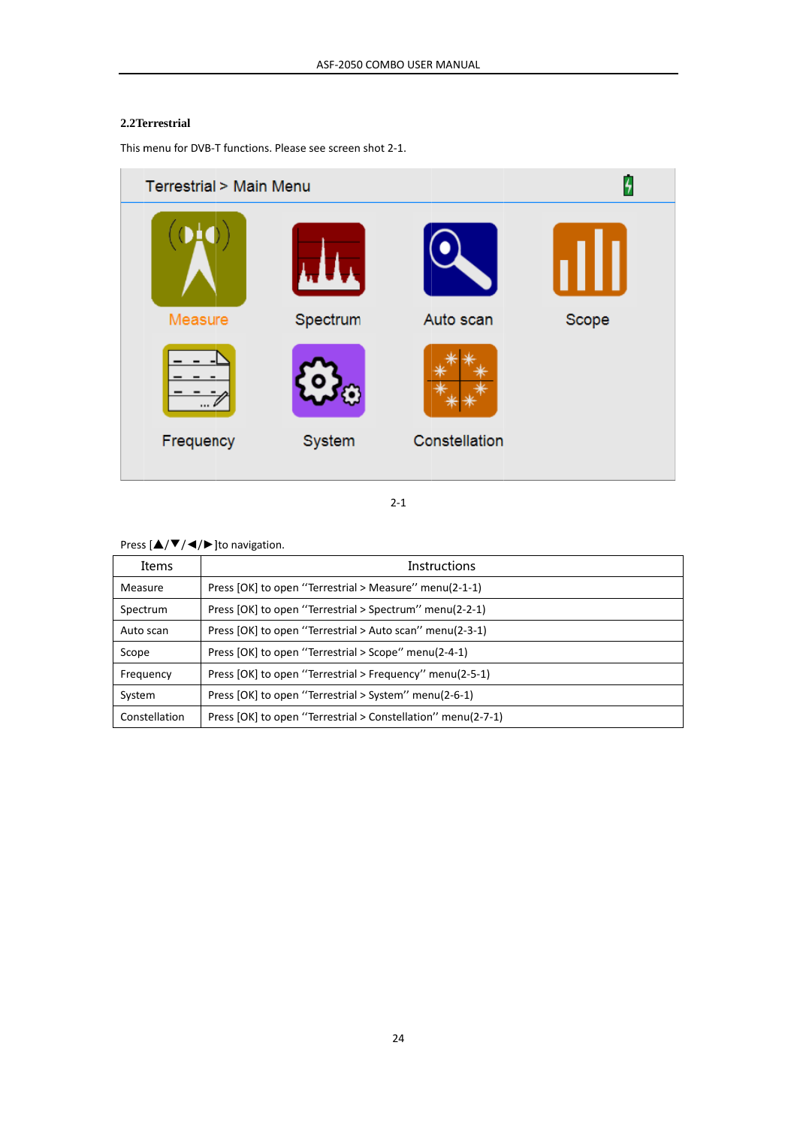#### 2.2Terrestrial

This menu for DVB-T functions. Please see screen shot 2-1.



 $2 - 1$ 

Press  $[\triangle/\blacktriangledown/\blacktriangle]/\blacktriangleright$  ]to navigation.

| Items         | <b>Instructions</b>                                          |
|---------------|--------------------------------------------------------------|
| Measure       | Press [OK] to open "Terrestrial > Measure" menu(2-1-1)       |
| Spectrum      | Press [OK] to open "Terrestrial > Spectrum" menu(2-2-1)      |
| Auto scan     | Press [OK] to open "Terrestrial > Auto scan" menu(2-3-1)     |
| Scope         | Press [OK] to open "Terrestrial > Scope" menu(2-4-1)         |
| Frequency     | Press [OK] to open "Terrestrial > Frequency" menu(2-5-1)     |
| System        | Press [OK] to open "Terrestrial > System" menu(2-6-1)        |
| Constellation | Press [OK] to open "Terrestrial > Constellation" menu(2-7-1) |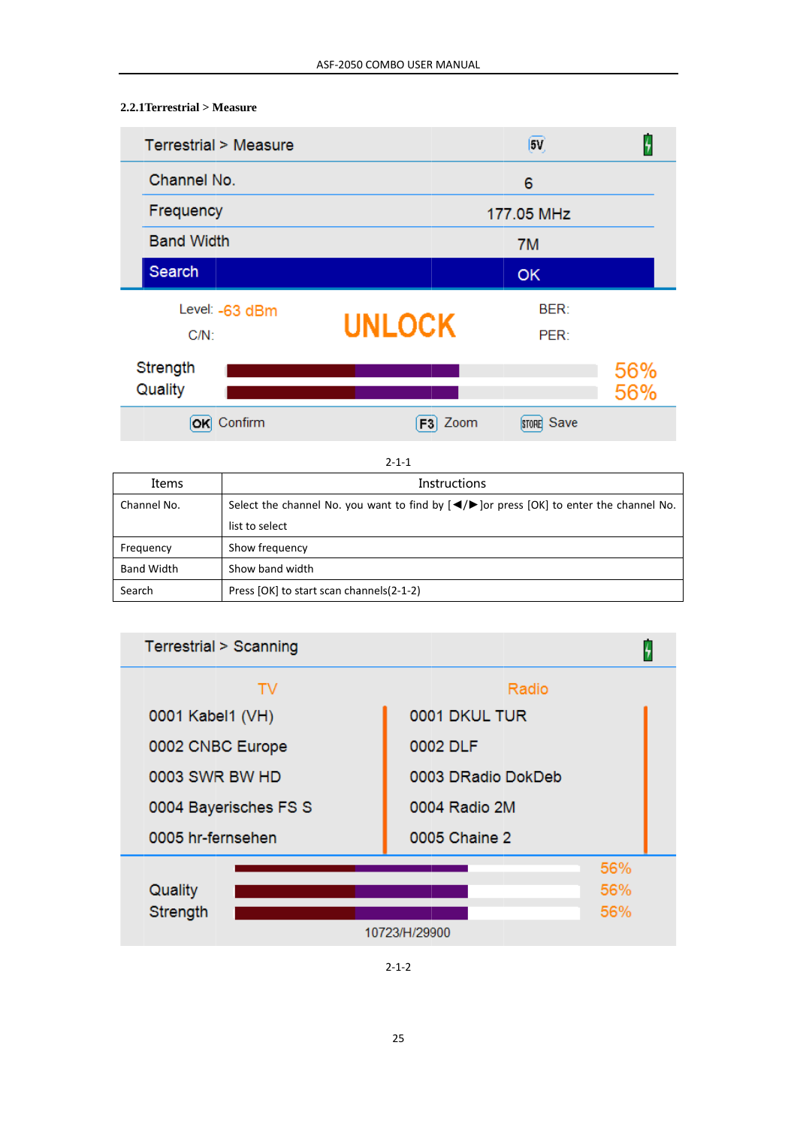# 2.2.1 Terrestrial > Measure

| Terrestrial > Measure |               | (5V)        | $\overline{4}$ |
|-----------------------|---------------|-------------|----------------|
| Channel No.           |               | 6           |                |
| Frequency             |               | 177.05 MHz  |                |
| <b>Band Width</b>     |               | 7M          |                |
| Search                |               | OK          |                |
| Level: -63 dBm        |               | <b>BER:</b> |                |
| $C/N$ :               | <b>UNLOCK</b> | PER:        |                |
| Strength              |               |             | 56%            |
| Quality               |               |             | 56%            |
| OK Confirm            | Zoom<br>F3I   | STORE Save  |                |

 $2 - 1 - 1$ 

| Items             | Instructions                                                                                                        |
|-------------------|---------------------------------------------------------------------------------------------------------------------|
| Channel No.       | Select the channel No. you want to find by $\left( \bigtriangleup \right)$ or press $[OK]$ to enter the channel No. |
|                   | list to select                                                                                                      |
| Frequency         | Show frequency                                                                                                      |
| <b>Band Width</b> | Show band width                                                                                                     |
| Search            | Press [OK] to start scan channels(2-1-2)                                                                            |



 $2 - 1 - 2$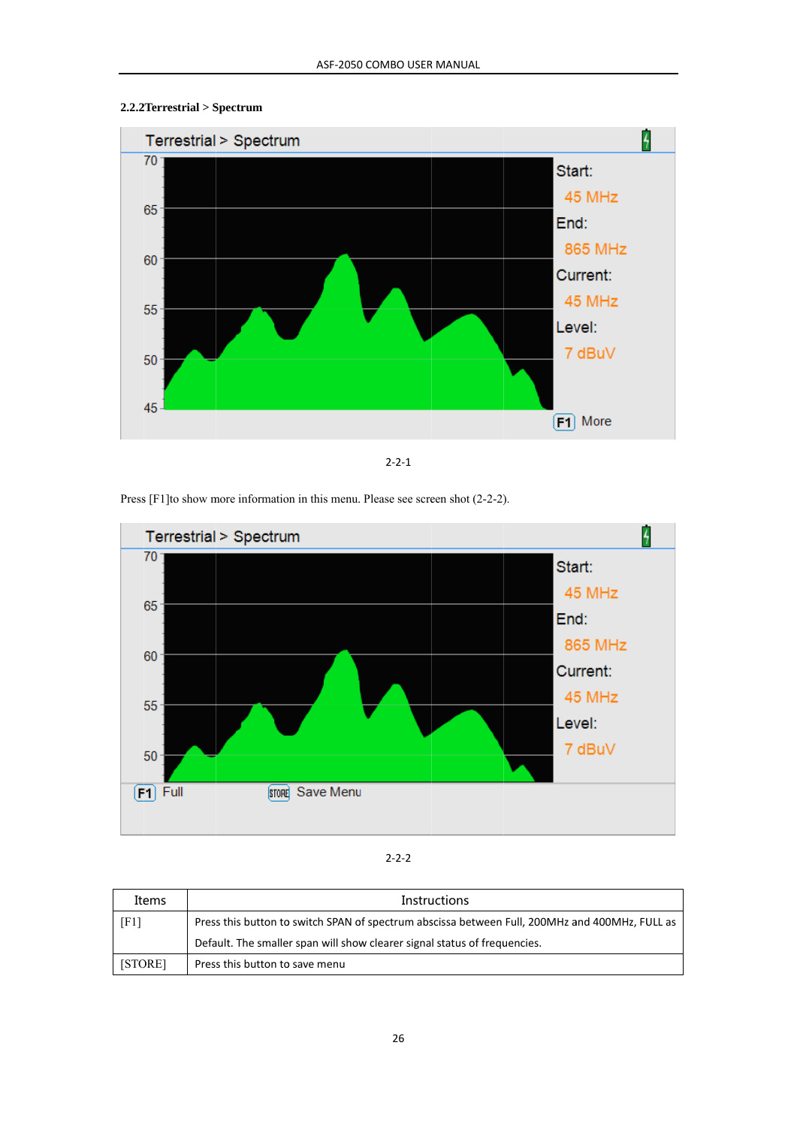# 2.2.2 Terrestrial > Spectrum



 $2 - 2 - 1$ 

Press [F1] to show more information in this menu. Please see screen shot (2-2-2).



#### $2 - 2 - 2$

| Items   | <b>Instructions</b>                                                                            |  |
|---------|------------------------------------------------------------------------------------------------|--|
| [F1]    | Press this button to switch SPAN of spectrum abscissa between Full, 200MHz and 400MHz, FULL as |  |
|         | Default. The smaller span will show clearer signal status of frequencies.                      |  |
| [STORE] | Press this button to save menu                                                                 |  |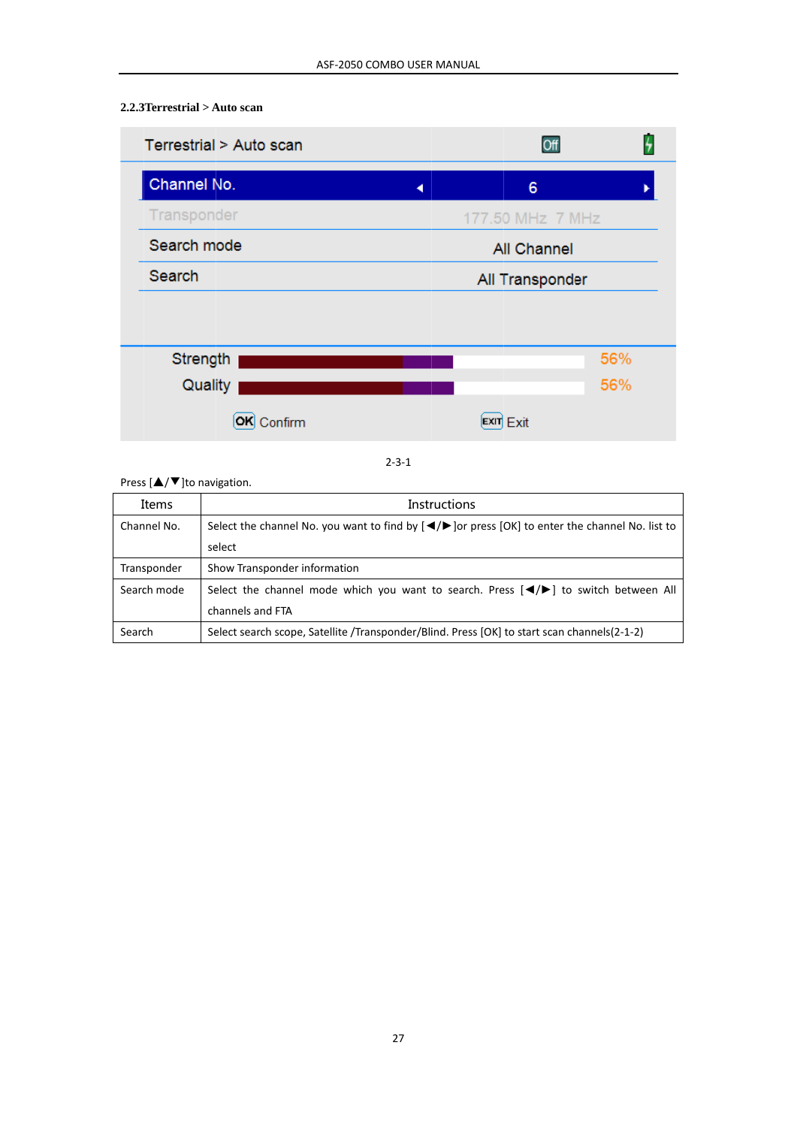#### 2.2.3 Terrestrial > Auto scan



 $2 - 3 - 1$ 

Press  $[\triangle/\blacktriangledown]$ to navigation.

| Items       | <b>Instructions</b>                                                                                                                      |
|-------------|------------------------------------------------------------------------------------------------------------------------------------------|
| Channel No. | Select the channel No. you want to find by $\left( \bigtriangleup \right)$ or press $\left[ OK \right]$ to enter the channel No. list to |
|             | select                                                                                                                                   |
| Transponder | Show Transponder information                                                                                                             |
| Search mode | Select the channel mode which you want to search. Press $\Box$ $\Diamond$ to switch between All                                          |
|             | channels and FTA                                                                                                                         |
| Search      | Select search scope, Satellite /Transponder/Blind. Press [OK] to start scan channels (2-1-2)                                             |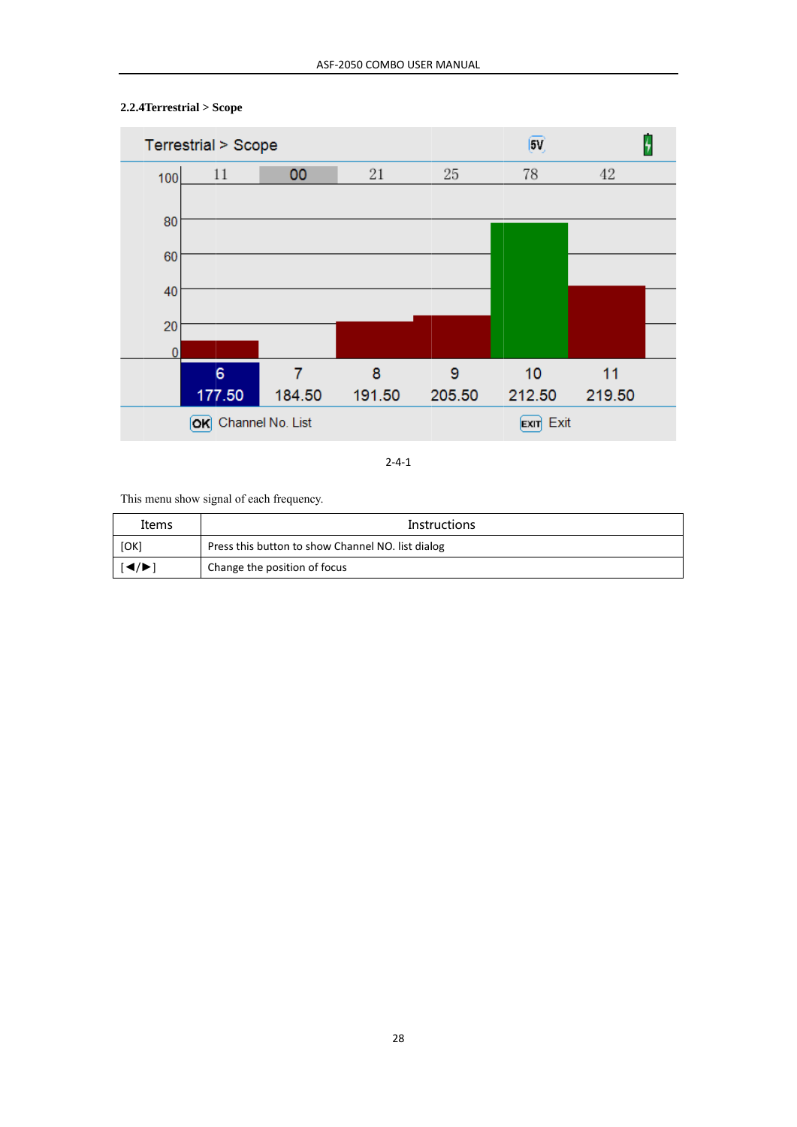

# $2.2.4$ Terrestrial > Scope

 $2 - 4 - 1$ 

This menu show signal of each frequency.

| Items                                                     | <b>Instructions</b>                               |  |
|-----------------------------------------------------------|---------------------------------------------------|--|
| [OK]                                                      | Press this button to show Channel NO. list dialog |  |
| $\left  \blacktriangleleft / \blacktriangleright \right $ | Change the position of focus                      |  |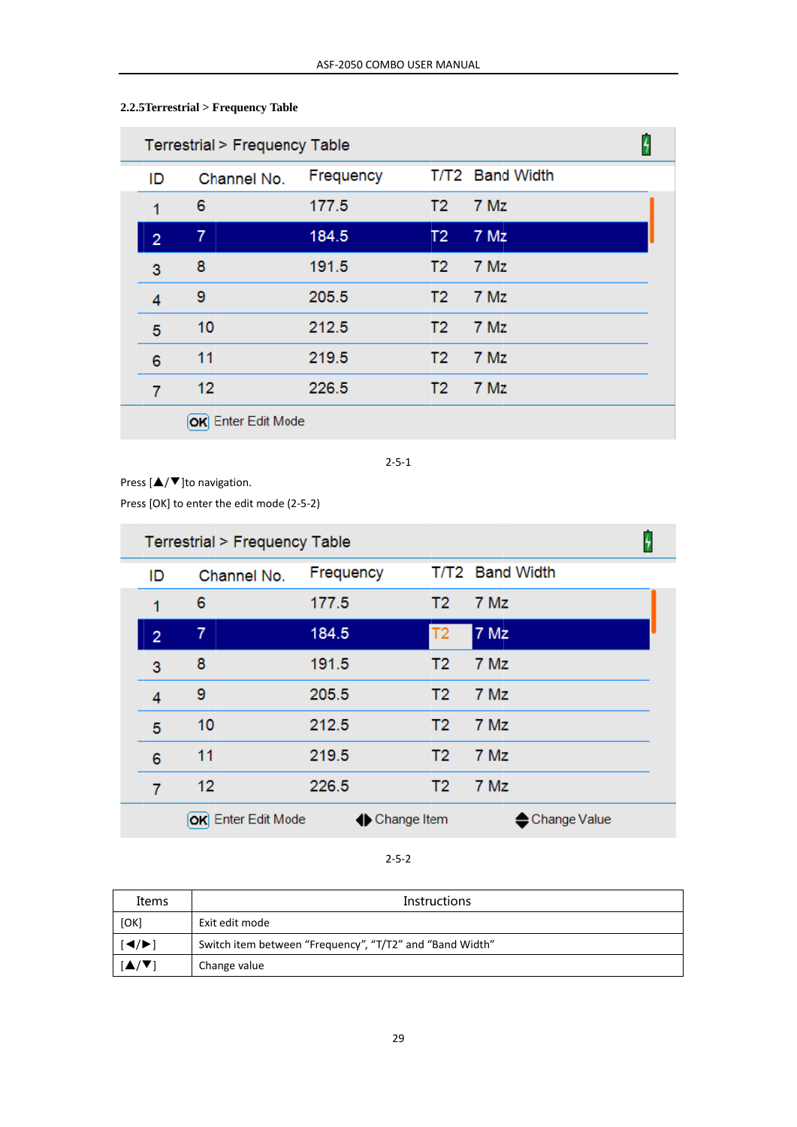| Terrestrial > Frequency Table |                    |           |                |                 |  |
|-------------------------------|--------------------|-----------|----------------|-----------------|--|
| ID                            | Channel No.        | Frequency |                | T/T2 Band Width |  |
| 1                             | 6                  | 177.5     | T <sub>2</sub> | 7 Mz            |  |
| $\overline{2}$                | $\overline{7}$     | 184.5     | T <sub>2</sub> | 7 Mz            |  |
| 3                             | 8                  | 191.5     | T <sub>2</sub> | 7 Mz            |  |
| 4                             | 9                  | 205.5     | T <sub>2</sub> | 7 Mz            |  |
| 5                             | 10                 | 212.5     | T <sub>2</sub> | 7 Mz            |  |
| 6                             | 11                 | 219.5     | T <sub>2</sub> | 7 Mz            |  |
| 7                             | 12                 | 226.5     | T <sub>2</sub> | 7 Mz            |  |
|                               | OK Enter Edit Mode |           |                |                 |  |

# 2.2.5 Terrestrial > Frequency Table

 $2 - 5 - 1$ 

Press  $[\triangle/\blacktriangledown]$ to navigation.

Press [OK] to enter the edit mode (2-5-2)

|                | Terrestrial > Frequency Table |               |                |                 |  |
|----------------|-------------------------------|---------------|----------------|-----------------|--|
| ID             | Channel No.                   | Frequency     |                | T/T2 Band Width |  |
| 1              | 6                             | 177.5         | T <sub>2</sub> | 7 Mz            |  |
| $\overline{2}$ | 7                             | 184.5         | T <sub>2</sub> | <b>7 Mz</b>     |  |
| 3              | 8                             | 191.5         | T <sub>2</sub> | 7 Mz            |  |
| 4              | 9                             | 205.5         | T2             | 7 Mz            |  |
| 5              | 10                            | 212.5         | T <sub>2</sub> | 7 Mz            |  |
| 6              | 11                            | 219.5         | T2             | 7 Mz            |  |
| 7              | 12                            | 226.5         | T2             | 7 Mz            |  |
|                | OK Enter Edit Mode            | ← Change Item |                | ← Change Value  |  |

 $2 - 5 - 2$ 

| Items                                      | <b>Instructions</b>                                      |  |
|--------------------------------------------|----------------------------------------------------------|--|
| [OK]                                       | Exit edit mode                                           |  |
| $ \blacktriangleleft/\blacktriangleright $ | Switch item between "Frequency", "T/T2" and "Band Width" |  |
|                                            | Change value                                             |  |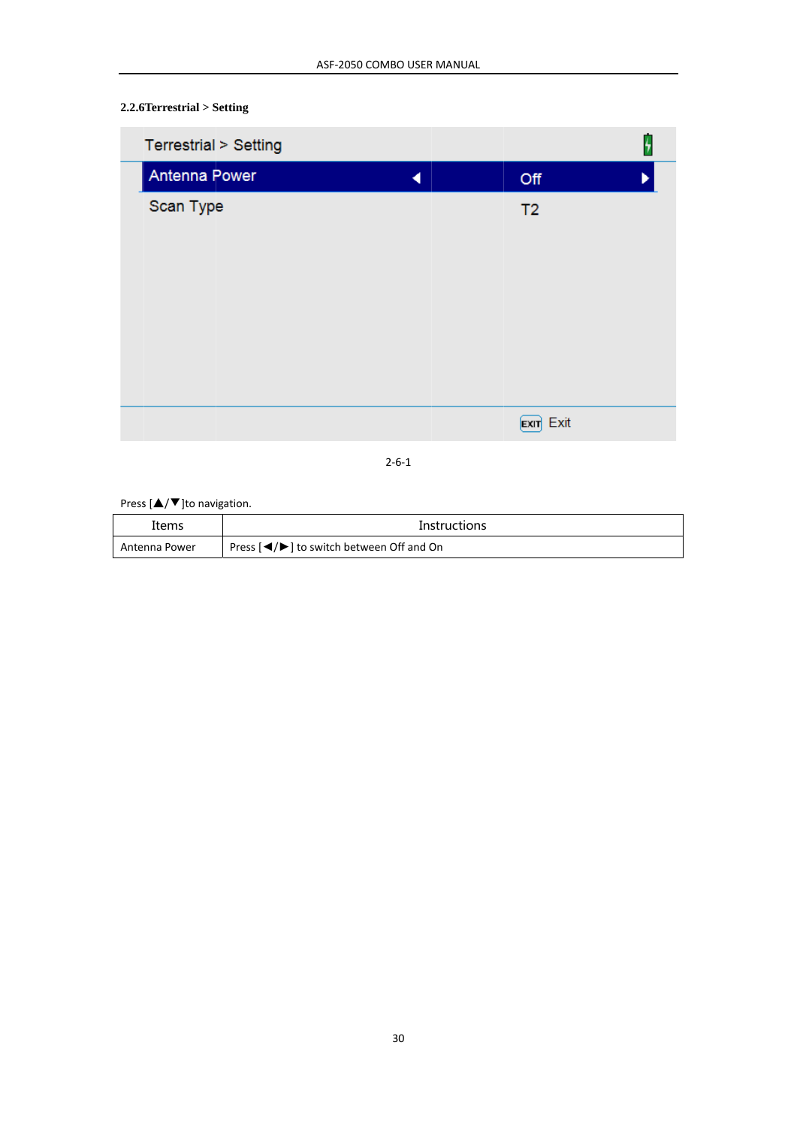# $2.2.6$ Terrestrial > Setting

| Terrestrial > Setting |                | Ŧ |
|-----------------------|----------------|---|
| Antenna Power         | Off            |   |
| Scan Type             | T <sub>2</sub> |   |
|                       |                |   |
|                       |                |   |
|                       |                |   |
|                       |                |   |
|                       |                |   |
|                       |                |   |
|                       |                |   |
|                       | Exit Exit      |   |
|                       |                |   |

 $2 - 6 - 1$ 

### Press  $[\triangle/\blacktriangledown]$ to navigation.

| Items         | Instructions                                                     |
|---------------|------------------------------------------------------------------|
| Antenna Power | Press $\left[\bigtriangleup\right]$ to switch between Off and On |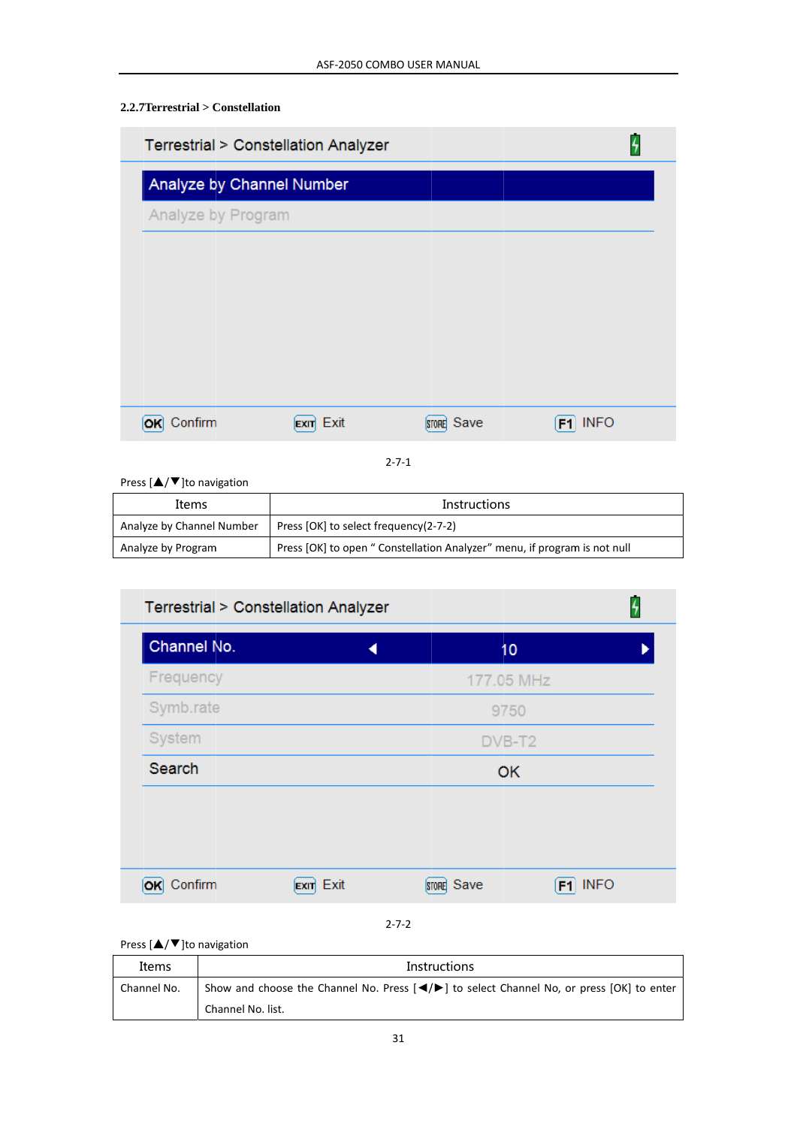# 2.2.7 Terrestrial > Constellation

| Terrestrial > Constellation Analyzer |                     |            |                   |
|--------------------------------------|---------------------|------------|-------------------|
| Analyze by Channel Number            |                     |            |                   |
| Analyze by Program                   |                     |            |                   |
|                                      |                     |            |                   |
|                                      |                     |            |                   |
|                                      |                     |            |                   |
|                                      |                     |            |                   |
|                                      |                     |            |                   |
| Confirm                              | Exit<br><b>EXIT</b> | STORE Save | <b>INFO</b><br>F1 |

 $2 - 7 - 1$ 

Press  $[\triangle/\blacktriangledown]$ to navigation

| Items                     | <b>Instructions</b>                                                       |
|---------------------------|---------------------------------------------------------------------------|
| Analyze by Channel Number | Press [OK] to select frequency(2-7-2)                                     |
| Analyze by Program        | Press [OK] to open " Constellation Analyzer" menu, if program is not null |

| 10         |                         |
|------------|-------------------------|
|            |                         |
| 177.05 MHz |                         |
| 9750       |                         |
| DVB-T2     |                         |
| OK         |                         |
|            |                         |
|            |                         |
|            |                         |
|            |                         |
|            | $F1$ INFO<br>STORE Save |

### Press [▲/▼]to navigation

| Items       | <b>Instructions</b>                                                                                                  |  |  |
|-------------|----------------------------------------------------------------------------------------------------------------------|--|--|
| Channel No. | Show and choose the Channel No. Press $\left( \bigtriangleup \right)$ to select Channel No, or press $[OK]$ to enter |  |  |
|             | Channel No. list.                                                                                                    |  |  |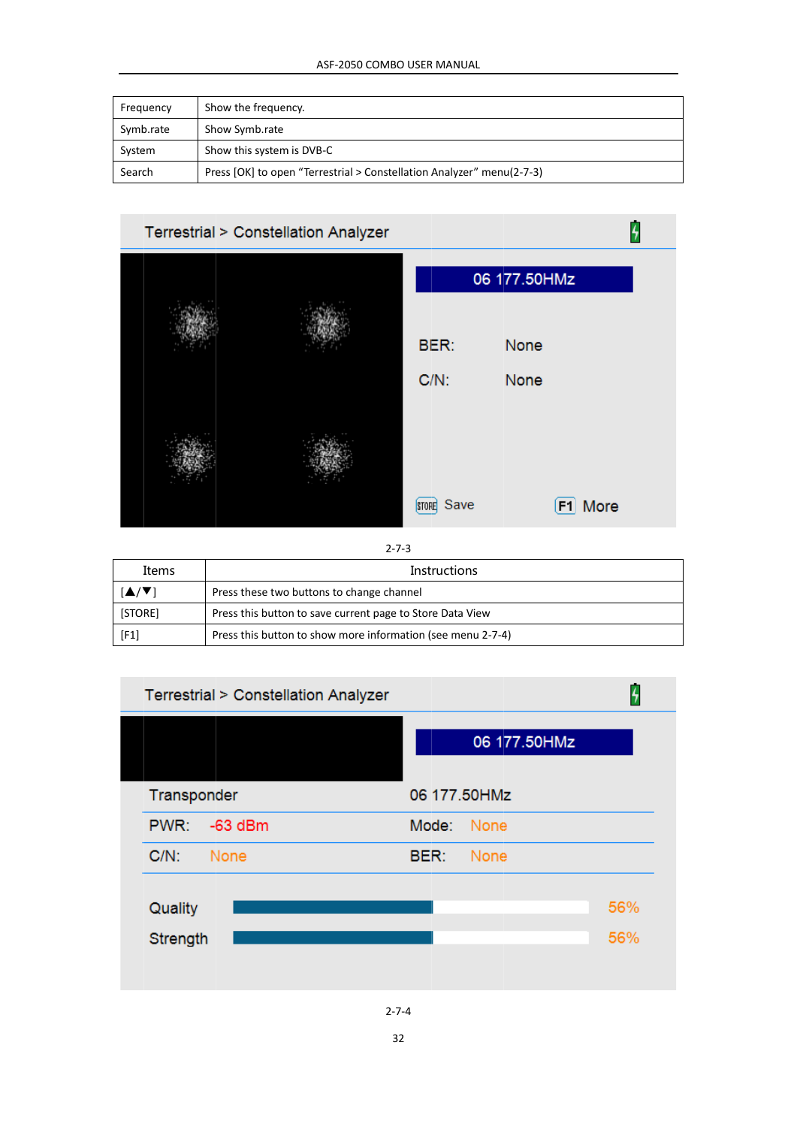| Frequency | Show the frequency.                                                   |
|-----------|-----------------------------------------------------------------------|
| Symb.rate | Show Symb.rate                                                        |
| System    | Show this system is DVB-C                                             |
| Search    | Press [OK] to open "Terrestrial > Constellation Analyzer" menu(2-7-3) |



 $2 - 7 - 3$ 

| Items   | Instructions                                                |  |
|---------|-------------------------------------------------------------|--|
| ./▼1    | Press these two buttons to change channel                   |  |
| [STORE] | Press this button to save current page to Store Data View   |  |
| [F1]    | Press this button to show more information (see menu 2-7-4) |  |



32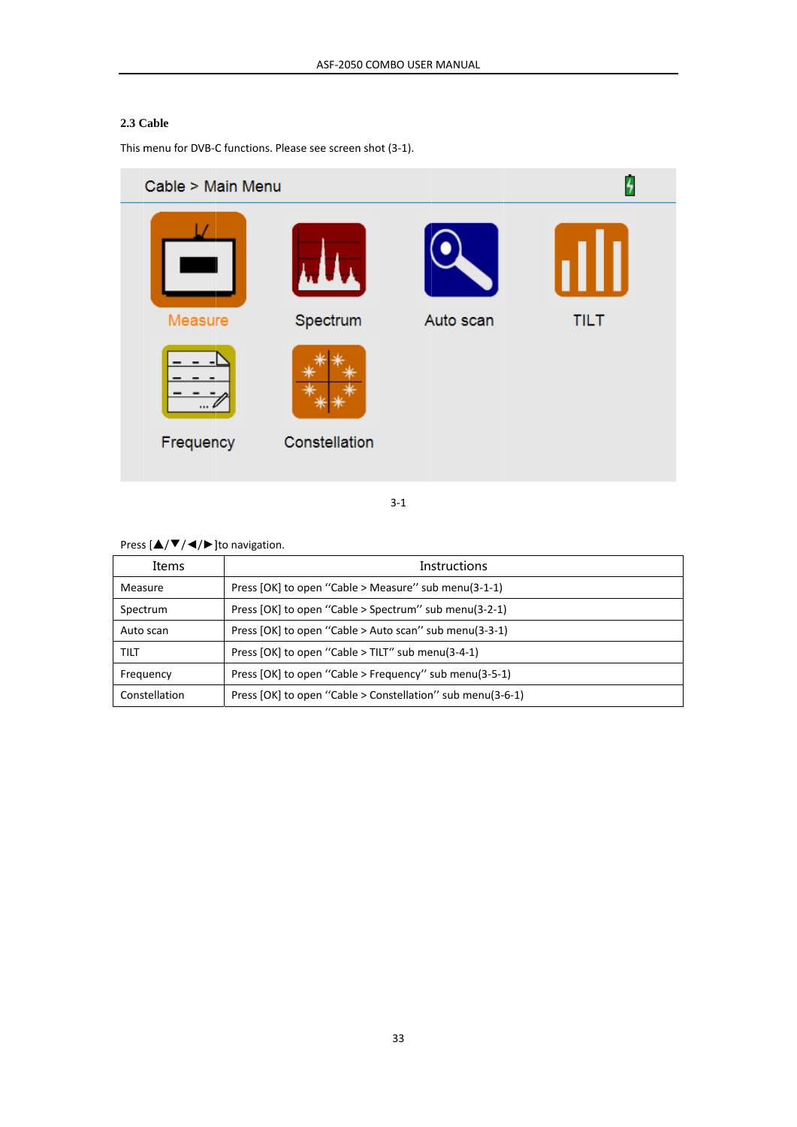#### **2.3 C Cable**

This menu for DVB-C functions. Please see screen shot (3-1).

| Cable > Main Menu |               |           | 4           |
|-------------------|---------------|-----------|-------------|
|                   |               |           |             |
| Measure           | Spectrum      | Auto scan | <b>TILT</b> |
| Frequency         | Constellation |           |             |
|                   |               |           |             |

3‐1

#### Press  $[\triangle/\blacktriangledown/\blacktriangle]/\blacktriangleright$  ]to navigation.

| Items         | <b>Instructions</b>                                        |
|---------------|------------------------------------------------------------|
| Measure       | Press [OK] to open "Cable > Measure" sub menu(3-1-1)       |
| Spectrum      | Press [OK] to open "Cable > Spectrum" sub menu(3-2-1)      |
| Auto scan     | Press [OK] to open "Cable > Auto scan" sub menu(3-3-1)     |
| TILT          | Press [OK] to open "Cable > TILT" sub menu(3-4-1)          |
| Frequency     | Press [OK] to open "Cable > Frequency" sub menu(3-5-1)     |
| Constellation | Press [OK] to open "Cable > Constellation" sub menu(3-6-1) |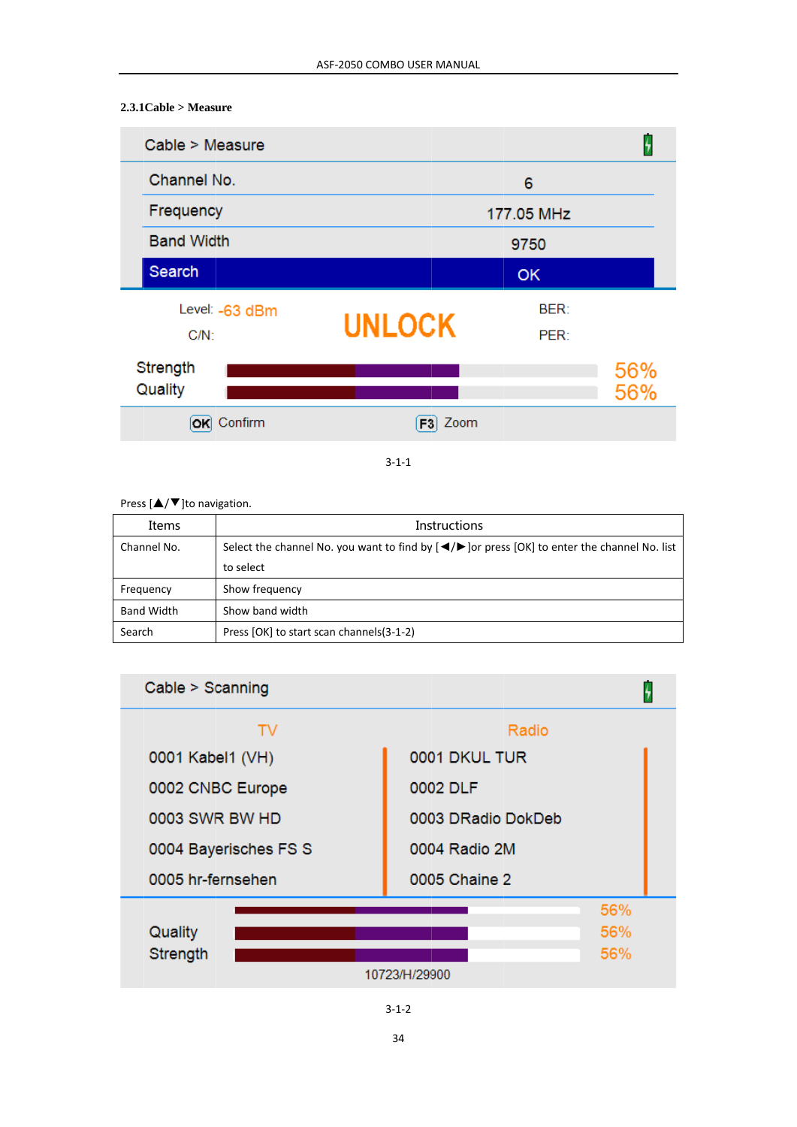# $2.3.1$ Cable > Measure

| Cable > Measure     |               |             |            |
|---------------------|---------------|-------------|------------|
| Channel No.         |               | 6           |            |
| Frequency           |               | 177.05 MHz  |            |
| <b>Band Width</b>   |               | 9750        |            |
| Search              |               | <b>OK</b>   |            |
| Level: -63 dBm      |               | <b>BER:</b> |            |
| $C/N$ :             | <b>UNLOCK</b> | PER:        |            |
| Strength<br>Quality |               |             | 56%<br>56% |
| Confirm<br>ОΚ       | Zoom<br>F3    |             |            |

 $3 - 1 - 1$ 

#### Press  $[\triangle/\blacktriangledown]$ to navigation.

| Items             | <b>Instructions</b>                                                                                                 |  |
|-------------------|---------------------------------------------------------------------------------------------------------------------|--|
| Channel No.       | Select the channel No. you want to find by $\left(\frac{4}{5}\right)$ or press $[OK]$ to enter the channel No. list |  |
|                   | to select                                                                                                           |  |
| Frequency         | Show frequency                                                                                                      |  |
| <b>Band Width</b> | Show band width                                                                                                     |  |
| Search            | Press [OK] to start scan channels(3-1-2)                                                                            |  |



 $3 - 1 - 2$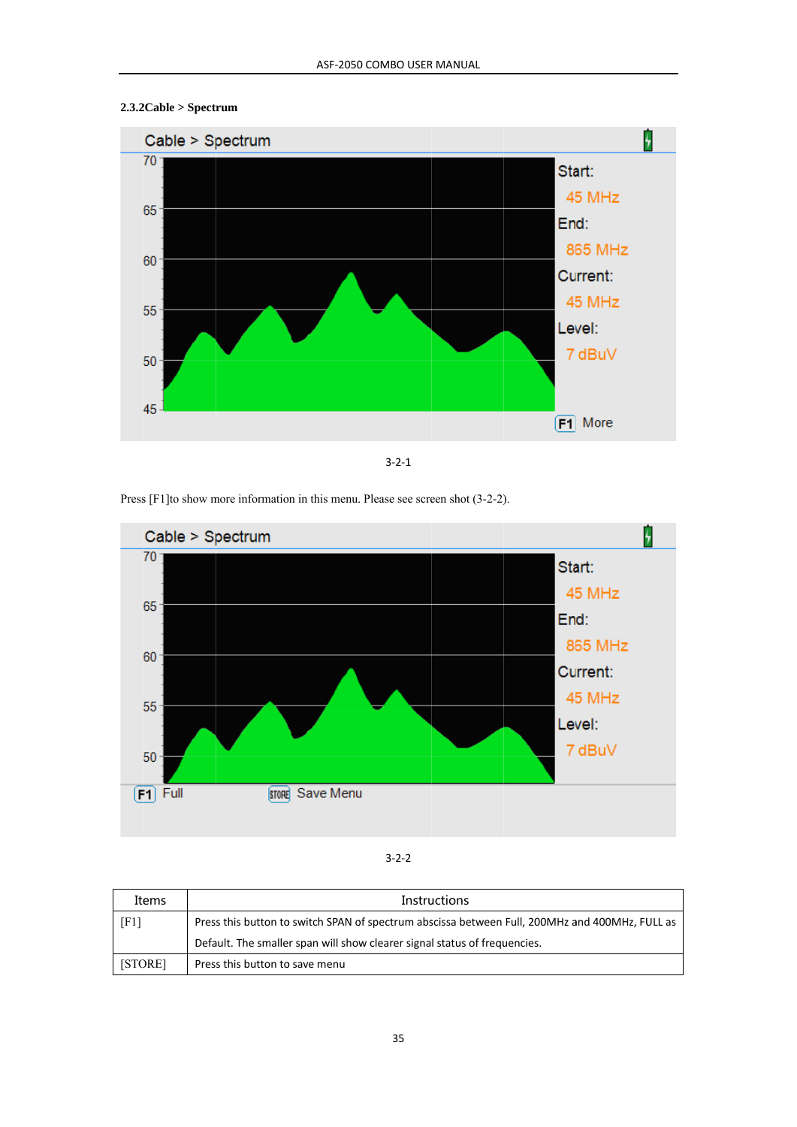



 $3 - 2 - 1$ 

Press [F1] to show more information in this menu. Please see screen shot (3-2-2).



#### $3 - 2 - 2$

| Items              | <b>Instructions</b>                                                                            |  |
|--------------------|------------------------------------------------------------------------------------------------|--|
| [F1]               | Press this button to switch SPAN of spectrum abscissa between Full, 200MHz and 400MHz, FULL as |  |
|                    | Default. The smaller span will show clearer signal status of frequencies.                      |  |
| STORE <sub>1</sub> | Press this button to save menu                                                                 |  |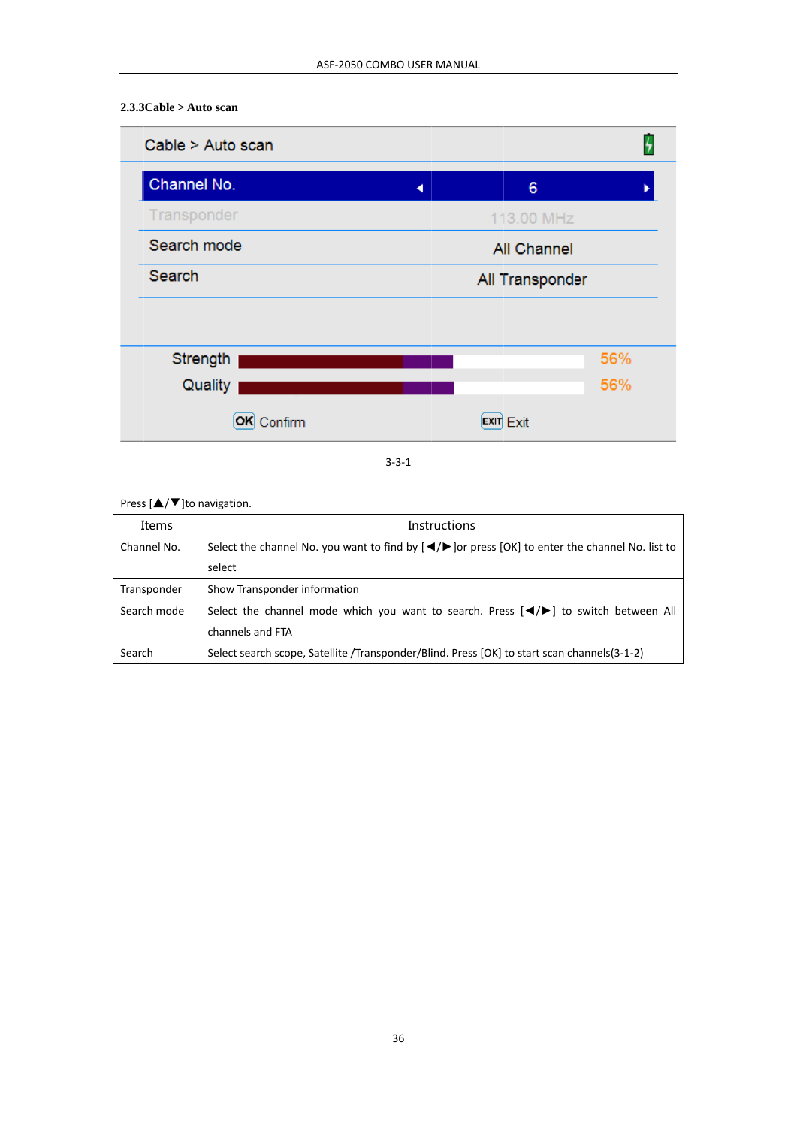## $2.3.3Cable > Auto scan$



 $3 - 3 - 1$ 

### Press  $[\triangle/\blacktriangledown]$ to navigation.

| Items       | <b>Instructions</b>                                                                                                                      |  |
|-------------|------------------------------------------------------------------------------------------------------------------------------------------|--|
| Channel No. | Select the channel No. you want to find by $\left( \bigtriangleup \right)$ or press $\left[ OK \right]$ to enter the channel No. list to |  |
|             | select                                                                                                                                   |  |
| Transponder | Show Transponder information                                                                                                             |  |
| Search mode | Select the channel mode which you want to search. Press $\Box$ $\Diamond$ to switch between All                                          |  |
|             | channels and FTA                                                                                                                         |  |
| Search      | Select search scope, Satellite /Transponder/Blind. Press [OK] to start scan channels (3-1-2)                                             |  |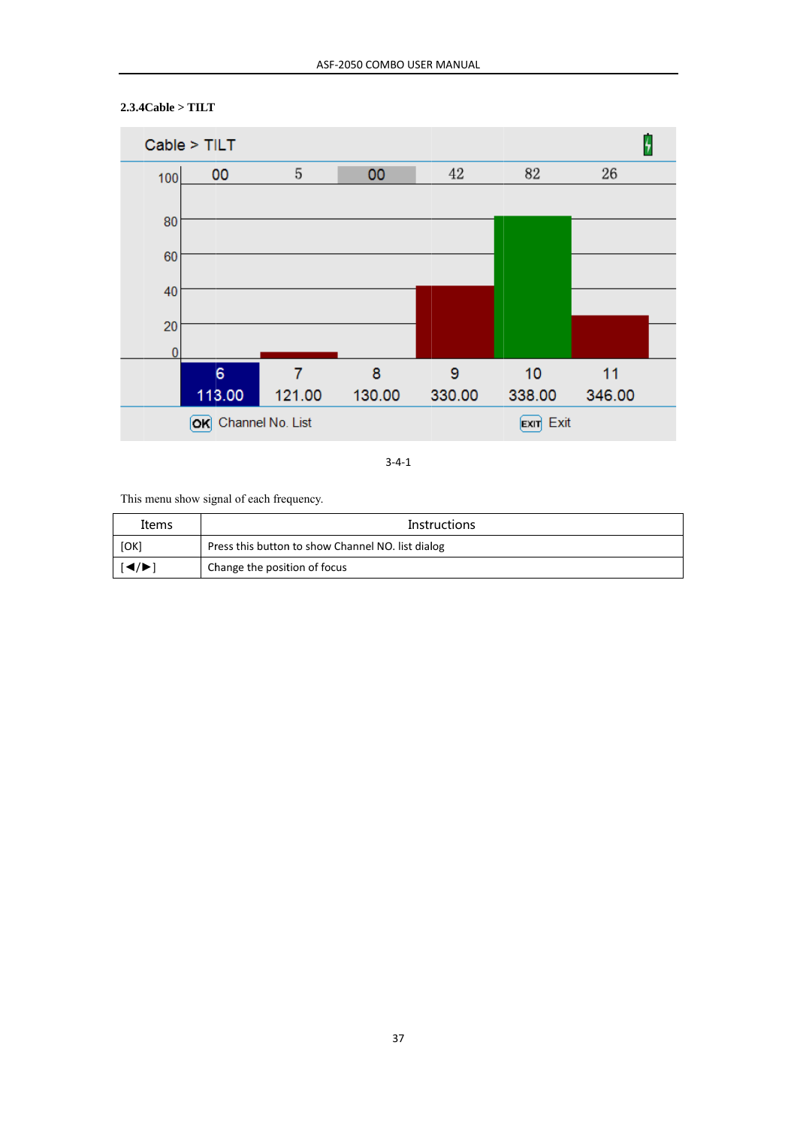

### $2.3.4Cable > TILT$

 $3 - 4 - 1$ 

This menu show signal of each frequency.

| Items                                                     | <b>Instructions</b>                               |
|-----------------------------------------------------------|---------------------------------------------------|
| [OK]                                                      | Press this button to show Channel NO. list dialog |
| $\left  \blacktriangleleft / \blacktriangleright \right $ | Change the position of focus                      |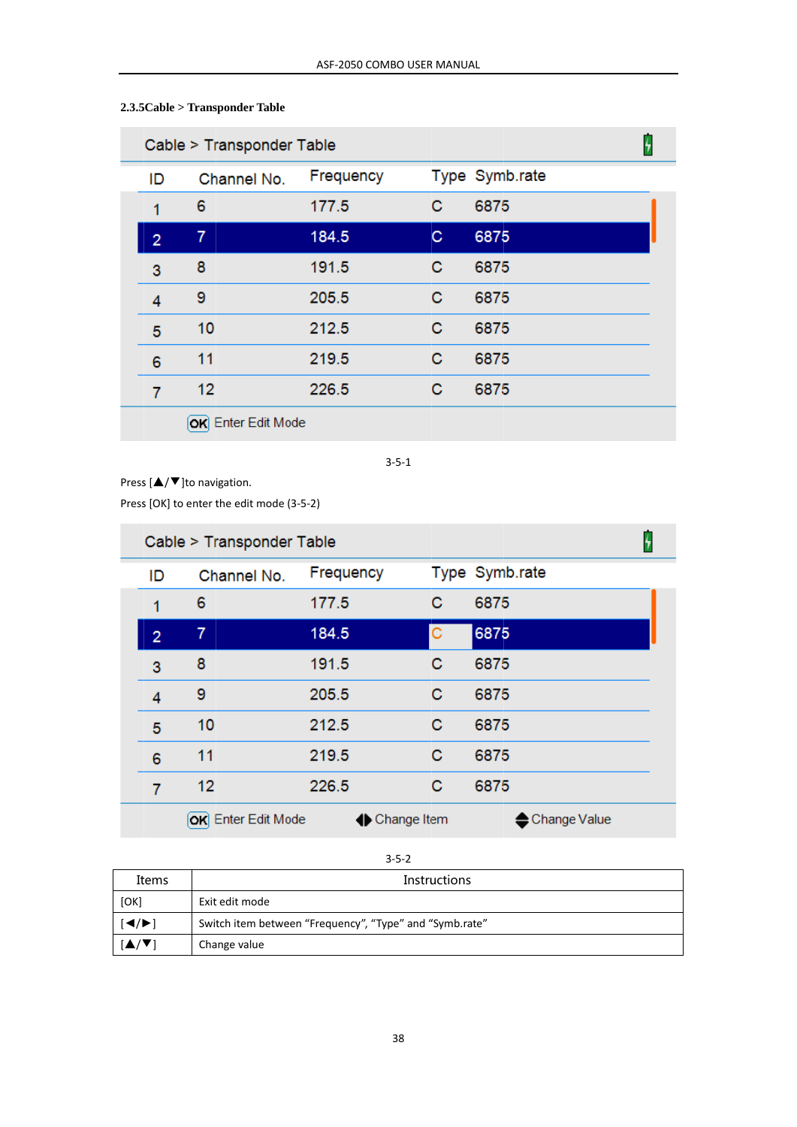| Cable > Transponder Table |                |                    |           | 4 |                |  |
|---------------------------|----------------|--------------------|-----------|---|----------------|--|
|                           | ID             | Channel No.        | Frequency |   | Type Symb.rate |  |
|                           | 1              | 6                  | 177.5     | С | 6875           |  |
|                           | $\overline{2}$ | 7                  | 184.5     | С | 6875           |  |
|                           | 3              | 8                  | 191.5     | C | 6875           |  |
|                           | 4              | 9                  | 205.5     | С | 6875           |  |
|                           | 5              | 10                 | 212.5     | С | 6875           |  |
|                           | 6              | 11                 | 219.5     | С | 6875           |  |
|                           | 7              | 12                 | 226.5     | С | 6875           |  |
|                           |                | OK Enter Edit Mode |           |   |                |  |

# $2.3.5Cable > Transporter Table$

 $3 - 5 - 1$ 

Press  $[\triangle/\blacktriangledown]$ to navigation.

Press [OK] to enter the edit mode (3-5-2)

| Cable > Transponder Table |                    |               |   |                |  |
|---------------------------|--------------------|---------------|---|----------------|--|
| ID                        | Channel No.        | Frequency     |   | Type Symb.rate |  |
| 1                         | 6                  | 177.5         | с | 6875           |  |
| $\overline{2}$            | 7                  | 184.5         | с | 6875           |  |
| 3                         | 8                  | 191.5         | C | 6875           |  |
| 4                         | 9                  | 205.5         | с | 6875           |  |
| 5                         | 10                 | 212.5         | С | 6875           |  |
| 6                         | 11                 | 219.5         | с | 6875           |  |
| 7                         | 12                 | 226.5         | C | 6875           |  |
|                           | OK Enter Edit Mode | ← Change Item |   | Change Value   |  |

 $3 - 5 - 2$ 

| Items                                      | <b>Instructions</b>                                     |
|--------------------------------------------|---------------------------------------------------------|
| [OK]                                       | Exit edit mode                                          |
| $\blacktriangleleft/\blacktriangleright$ ) | Switch item between "Frequency", "Type" and "Symb.rate" |
|                                            | Change value                                            |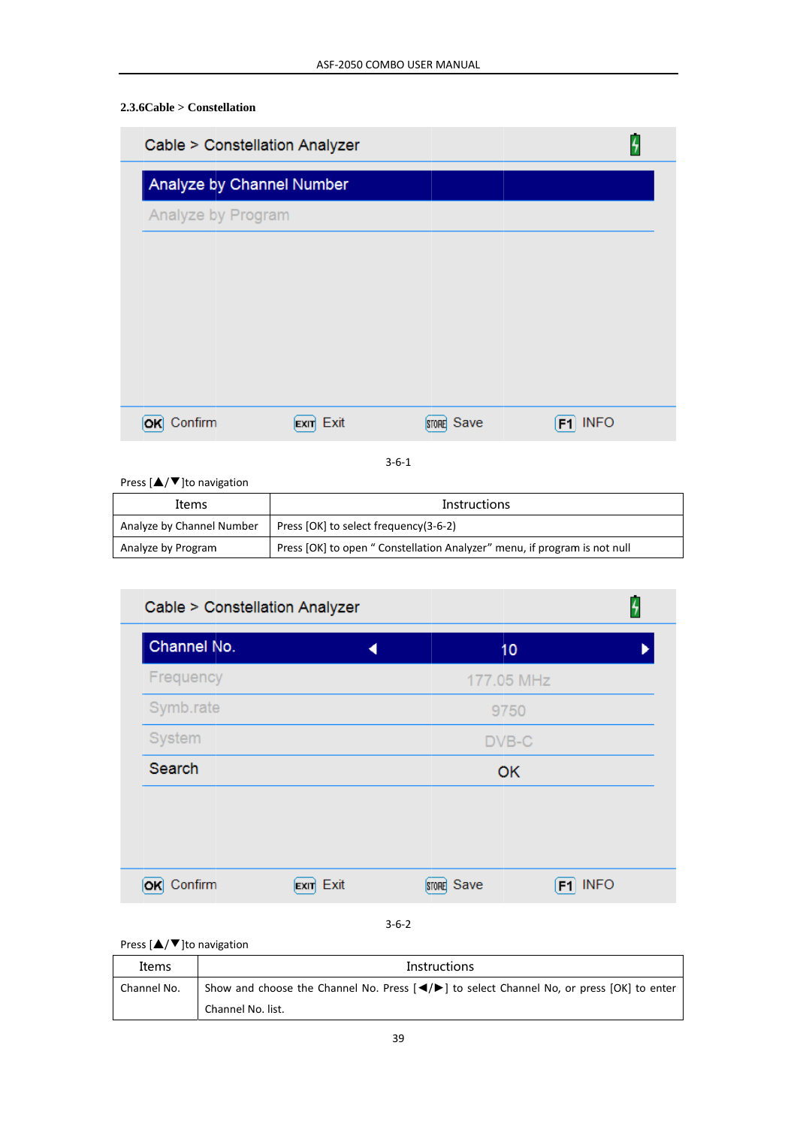# $2.3.6Cable >$ Constellation

| Cable > Constellation Analyzer |      |            |                   |
|--------------------------------|------|------------|-------------------|
| Analyze by Channel Number      |      |            |                   |
| Analyze by Program             |      |            |                   |
|                                |      |            |                   |
|                                |      |            |                   |
|                                |      |            |                   |
|                                |      |            |                   |
|                                |      |            |                   |
| Confirm                        | Exit | STORE Save | <b>INFO</b><br>F1 |
|                                |      |            |                   |

 $3 - 6 - 1$ 

Press  $[\triangle/\blacktriangledown]$ to navigation

| Items                     | <b>Instructions</b>                                                       |
|---------------------------|---------------------------------------------------------------------------|
| Analyze by Channel Number | Press [OK] to select frequency(3-6-2)                                     |
| Analyze by Program        | Press [OK] to open " Constellation Analyzer" menu, if program is not null |

| Cable > Constellation Analyzer |                                    |           |
|--------------------------------|------------------------------------|-----------|
| Channel No.                    | 10                                 |           |
| Frequency                      | 177.05 MHz                         |           |
| Symb.rate                      | 9750                               |           |
| System                         | DVB-C                              |           |
| Search                         | OK                                 |           |
|                                |                                    |           |
|                                |                                    |           |
|                                |                                    |           |
| OK Confirm                     | $\mathsf{Exir}$ Exit<br>STORE Save | $F1$ INFO |
|                                | - - -                              |           |

# $3 - 6 - 2$

### Press [▲/▼]to navigation

| Items       | <b>Instructions</b>                                                                                                                                             |  |  |
|-------------|-----------------------------------------------------------------------------------------------------------------------------------------------------------------|--|--|
| Channel No. | Show and choose the Channel No. Press $\left\lfloor \frac{4}{2} \right\rfloor$ to select Channel No, or press $\left\lfloor \frac{6}{5} \right\rfloor$ to enter |  |  |
|             | Channel No. list.                                                                                                                                               |  |  |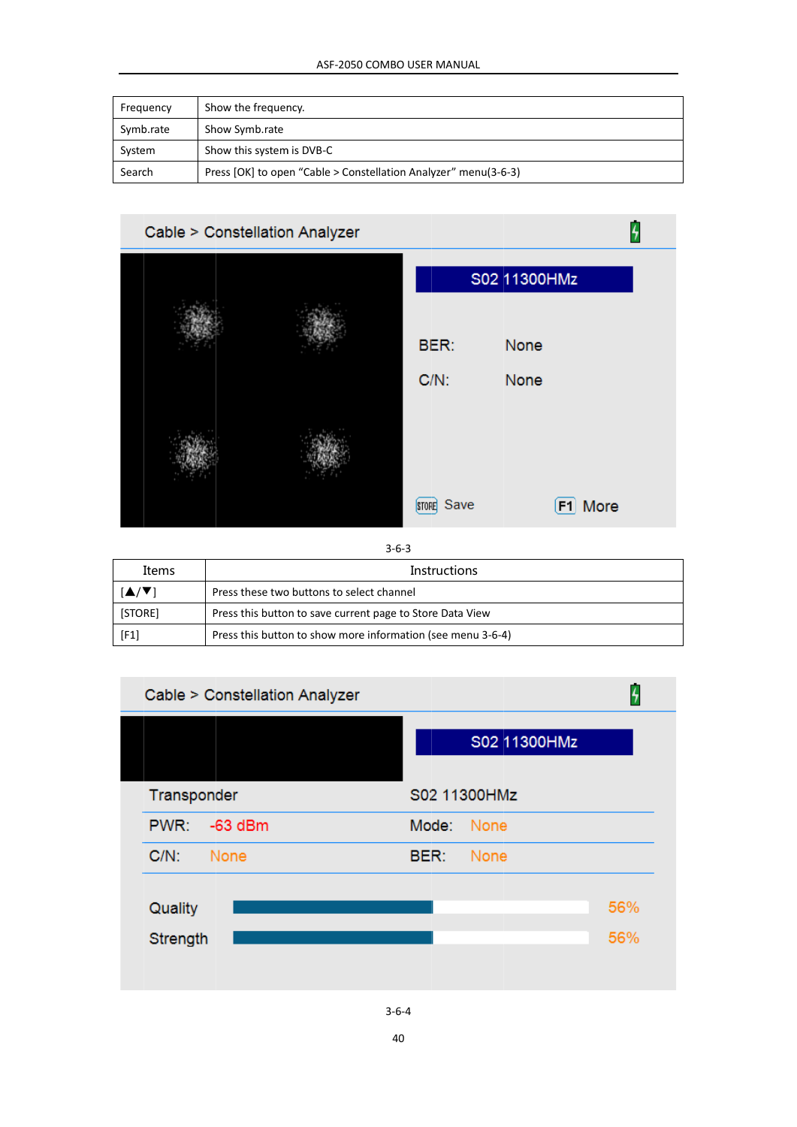| Frequency | Show the frequency.                                             |
|-----------|-----------------------------------------------------------------|
| Symb.rate | Show Symb.rate                                                  |
| System    | Show this system is DVB-C                                       |
| Search    | Press [OK] to open "Cable > Constellation Analyzer" menu(3-6-3) |



 $3 - 6 - 3$ 

| Items   | Instructions                                                |
|---------|-------------------------------------------------------------|
| VV1     | Press these two buttons to select channel                   |
| [STORE] | Press this button to save current page to Store Data View   |
| [F1]    | Press this button to show more information (see menu 3-6-4) |



 $3 - 6 - 4$ 

40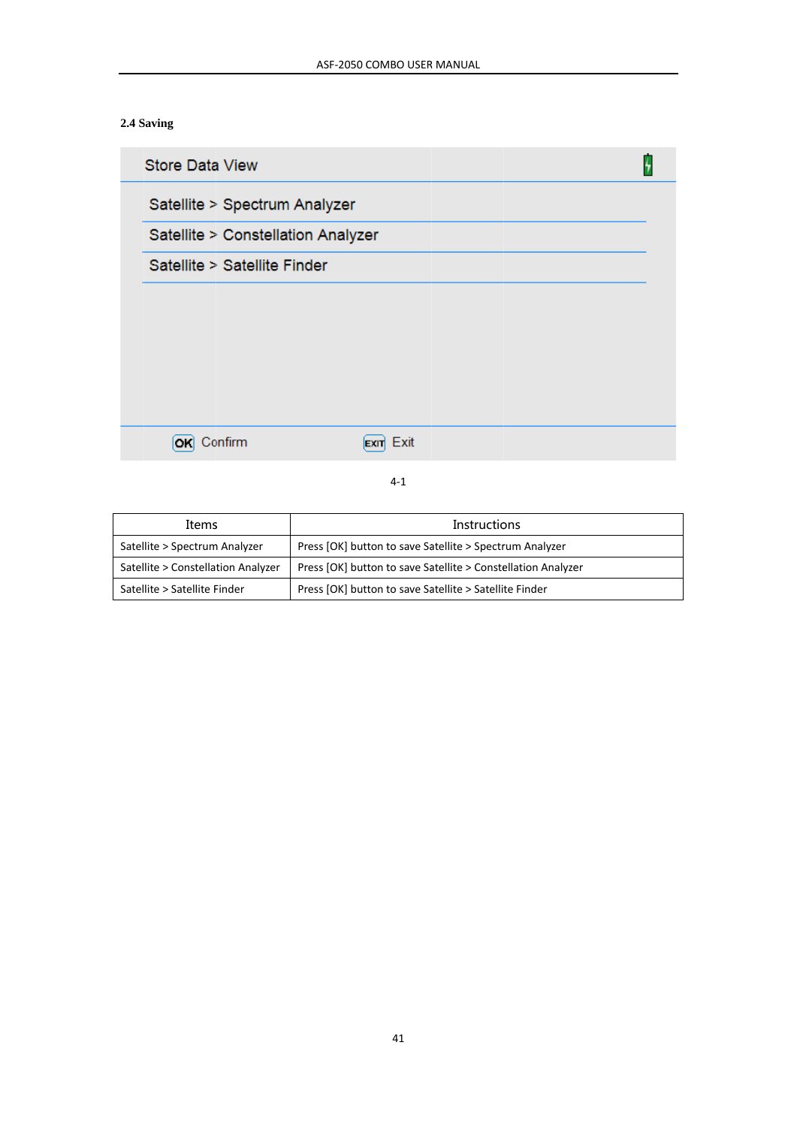# 2.4 Saving

| <b>Store Data View</b>             |  |
|------------------------------------|--|
| Satellite > Spectrum Analyzer      |  |
| Satellite > Constellation Analyzer |  |
| Satellite > Satellite Finder       |  |
|                                    |  |
|                                    |  |
|                                    |  |
|                                    |  |
|                                    |  |
| Exit<br>Confirm<br><b>EXIT</b>     |  |

 $4-1$ 

| Items                              | <b>Instructions</b>                                          |  |
|------------------------------------|--------------------------------------------------------------|--|
| Satellite > Spectrum Analyzer      | Press [OK] button to save Satellite > Spectrum Analyzer      |  |
| Satellite > Constellation Analyzer | Press [OK] button to save Satellite > Constellation Analyzer |  |
| Satellite > Satellite Finder       | Press [OK] button to save Satellite > Satellite Finder       |  |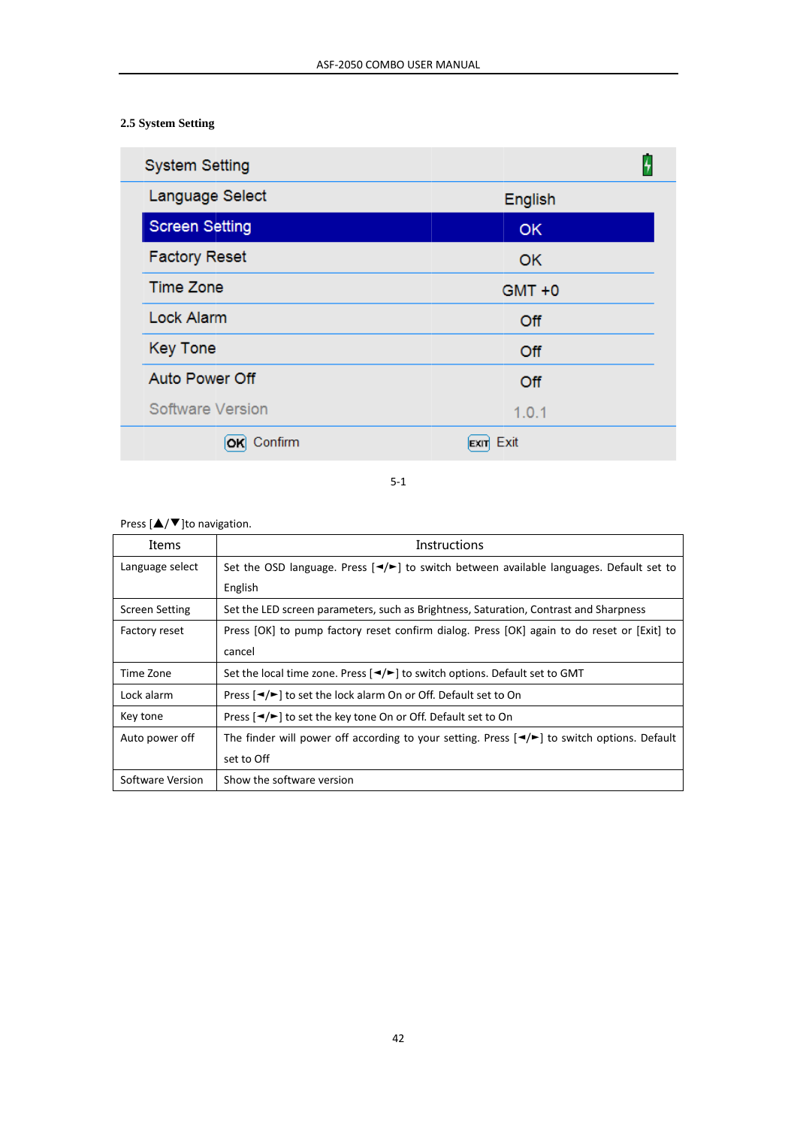# 2.5 System Setting

| <b>System Setting</b> |              |
|-----------------------|--------------|
| Language Select       | English      |
| <b>Screen Setting</b> | <b>OK</b>    |
| <b>Factory Reset</b>  | <b>OK</b>    |
| <b>Time Zone</b>      | $GMT + 0$    |
| <b>Lock Alarm</b>     | Off          |
| <b>Key Tone</b>       | Off          |
| <b>Auto Power Off</b> | Off          |
| Software Version      | 1.0.1        |
| Confirm               | Exit<br>EXIT |

 $5-1$ 

# Press  $[\triangle/\blacktriangledown]$ to navigation.

| Items                 | Instructions                                                                                                     |  |
|-----------------------|------------------------------------------------------------------------------------------------------------------|--|
| Language select       | Set the OSD language. Press $\left[\frac{4}{5}\right]$ to switch between available languages. Default set to     |  |
|                       | English                                                                                                          |  |
| <b>Screen Setting</b> | Set the LED screen parameters, such as Brightness, Saturation, Contrast and Sharpness                            |  |
| Factory reset         | Press [OK] to pump factory reset confirm dialog. Press [OK] again to do reset or [Exit] to                       |  |
|                       | cancel                                                                                                           |  |
| Time Zone             | Set the local time zone. Press $\left[\frac{4}{5}\right]$ to switch options. Default set to GMT                  |  |
| Lock alarm            | Press [◀/►] to set the lock alarm On or Off. Default set to On                                                   |  |
| Key tone              | Press [◀/►] to set the key tone On or Off. Default set to On                                                     |  |
| Auto power off        | The finder will power off according to your setting. Press $\left[\frac{4}{5}\right]$ to switch options. Default |  |
|                       | set to Off                                                                                                       |  |
| Software Version      | Show the software version                                                                                        |  |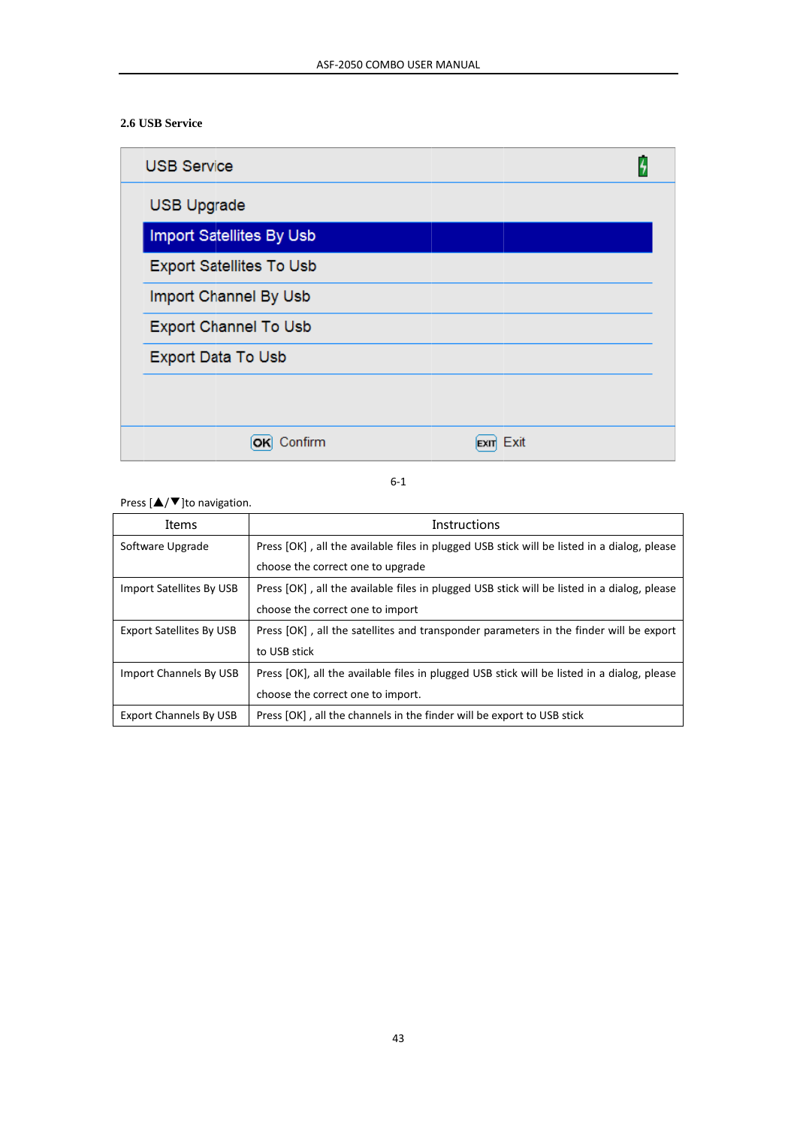# 2.6 USB Service

| <b>USB Service</b>              |  |
|---------------------------------|--|
| <b>USB Upgrade</b>              |  |
| Import Satellites By Usb        |  |
| <b>Export Satellites To Usb</b> |  |
| Import Channel By Usb           |  |
| <b>Export Channel To Usb</b>    |  |
| Export Data To Usb              |  |
|                                 |  |
| Confirm<br>Exit                 |  |

 $6 - 1$ 

Press  $[\triangle/\blacktriangledown]$ to navigation.

| Items                           | Instructions                                                                                |  |
|---------------------------------|---------------------------------------------------------------------------------------------|--|
| Software Upgrade                | Press [OK], all the available files in plugged USB stick will be listed in a dialog, please |  |
|                                 | choose the correct one to upgrade                                                           |  |
| Import Satellites By USB        | Press [OK], all the available files in plugged USB stick will be listed in a dialog, please |  |
|                                 | choose the correct one to import                                                            |  |
| <b>Export Satellites By USB</b> | Press [OK], all the satellites and transponder parameters in the finder will be export      |  |
|                                 | to USB stick                                                                                |  |
| Import Channels By USB          | Press [OK], all the available files in plugged USB stick will be listed in a dialog, please |  |
|                                 | choose the correct one to import.                                                           |  |
| <b>Export Channels By USB</b>   | Press [OK], all the channels in the finder will be export to USB stick                      |  |